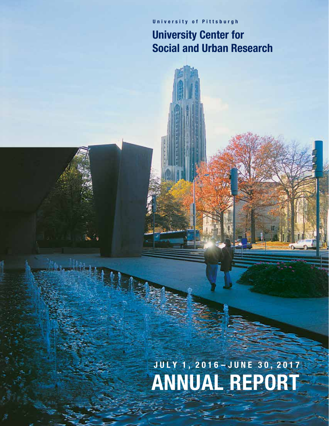**University of Pittsburgh**

# **University Center for Social and Urban Research**

**JULY 1, 2016–JUNE 30, 2017 ANNUAL REPORT**

**JULY 1, 2016 – JUNE 30, 2017 ANNUAL REPORT** | **a**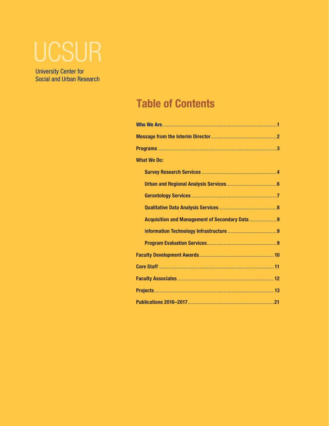University Center for Social and Urban Research

# **Table of Contents**

| <b>What We Do:</b>                                    |
|-------------------------------------------------------|
|                                                       |
|                                                       |
|                                                       |
|                                                       |
| <b>Acquisition and Management of Secondary Data 9</b> |
|                                                       |
|                                                       |
|                                                       |
|                                                       |
|                                                       |
|                                                       |
|                                                       |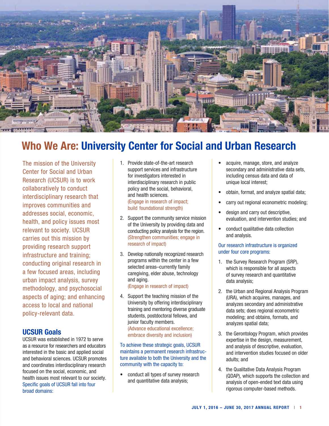

# **Who We Are: University Center for Social and Urban Research**

The mission of the University Center for Social and Urban Research (UCSUR) is to work collaboratively to conduct interdisciplinary research that improves communities and addresses social, economic, health, and policy issues most relevant to society. UCSUR carries out this mission by providing research support infrastructure and training; conducting original research in a few focused areas, including urban impact analysis, survey methodology, and psychosocial aspects of aging; and enhancing access to local and national policy-relevant data.

## **UCSUR Goals**

UCSUR was established in 1972 to serve as a resource for researchers and educators interested in the basic and applied social and behavioral sciences. UCSUR promotes and coordinates interdisciplinary research focused on the social, economic, and health issues most relevant to our society. Specific goals of UCSUR fall into four broad domains:

- 1. Provide state-of-the-art research support services and infrastructure for investigators interested in interdisciplinary research in public policy and the social, behavioral, and health sciences. (Engage in research of impact; build foundational strength)
- 2. Support the community service mission of the University by providing data and conducting policy analysis for the region. (Strengthen communities; engage in research of impact)
- 3. Develop nationally recognized research programs within the center in a few selected areas–currently family caregiving, elder abuse, technology and aging.

(Engage in research of impact)

4. Support the teaching mission of the University by offering interdisciplinary training and mentoring diverse graduate students, postdoctoral fellows, and junior faculty members. (Advance educational excellence; embrace diversity and inclusion)

To achieve these strategic goals, UCSUR maintains a permanent research infrastructure available to both the University and the community with the capacity to:

• conduct all types of survey research and quantitative data analysis;

- acquire, manage, store, and analyze secondary and administrative data sets, including census data and data of unique local interest;
- obtain, format, and analyze spatial data;
- carry out regional econometric modeling;
- design and carry out descriptive, evaluation, and intervention studies; and
- conduct qualitative data collection and analysis.

#### Our research infrastructure is organized under four core programs:

- 1. the Survey Research Program (SRP), which is responsible for all aspects of survey research and quantitative data analysis;
- 2. the Urban and Regional Analysis Program (URA), which acquires, manages, and analyzes secondary and administrative data sets; does regional econometric modeling; and obtains, formats, and analyzes spatial data;
- 3. the Gerontology Program, which provides expertise in the design, measurement, and analysis of descriptive, evaluation, and intervention studies focused on older adults; and
- 4. the Qualitative Data Analysis Program (QDAP), which supports the collection and analysis of open-ended text data using rigorous computer-based methods.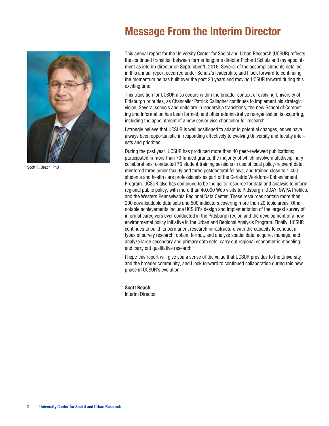# **Message From the Interim Director**



Scott R. Beach, PhD

This annual report for the University Center for Social and Urban Research (UCSUR) reflects the continued transition between former longtime director Richard Schulz and my appointment as interim director on September 1, 2016. Several of the accomplishments detailed in this annual report occurred under Schulz's leadership, and I look forward to continuing the momentum he has built over the past 20 years and moving UCSUR forward during this exciting time.

This transition for UCSUR also occurs within the broader context of evolving University of Pittsburgh priorities, as Chancellor Patrick Gallagher continues to implement his strategic vision. Several schools and units are in leadership transitions; the new School of Computing and Information has been formed; and other administrative reorganization is occurring, including the appointment of a new senior vice chancellor for research.

I strongly believe that UCSUR is well positioned to adapt to potential changes, as we have always been opportunistic in responding effectively to evolving University and faculty interests and priorities.

During the past year, UCSUR has produced more than 40 peer-reviewed publications; participated in more than 70 funded grants, the majority of which involve multidisciplinary collaborations; conducted 75 student training sessions in use of local policy-relevant data; mentored three junior faculty and three postdoctoral fellows; and trained close to 1,400 students and health care professionals as part of the Geriatric Workforce Enhancement Program. UCSUR also has continued to be the go-to resource for data and analysis to inform regional public policy, with more than 40,000 Web visits to PittsburghTODAY, SWPA Profiles, and the Western Pennsylvania Regional Data Center. These resources contain more than 200 downloadable data sets and 500 indicators covering more than 20 topic areas. Other notable achievements include UCSUR's design and implementation of the largest survey of informal caregivers ever conducted in the Pittsburgh region and the development of a new environmental policy initiative in the Urban and Regional Analysis Program. Finally, UCSUR continues to build its permanent research infrastructure with the capacity to conduct all types of survey research; obtain, format, and analyze spatial data; acquire, manage, and analyze large secondary and primary data sets; carry out regional econometric modeling; and carry out qualitative research.

I hope this report will give you a sense of the value that UCSUR provides to the University and the broader community, and I look forward to continued collaboration during this new phase in UCSUR's evolution.

**Scott Beach** Interim Director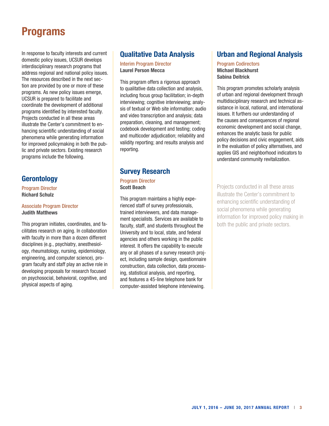# **Programs**

In response to faculty interests and current domestic policy issues, UCSUR develops interdisciplinary research programs that address regional and national policy issues. The resources described in the next section are provided by one or more of these programs. As new policy issues emerge, UCSUR is prepared to facilitate and coordinate the development of additional programs identified by interested faculty. Projects conducted in all these areas illustrate the Center's commitment to enhancing scientific understanding of social phenomena while generating information for improved policymaking in both the public and private sectors. Existing research programs include the following.

# **Gerontology**

Program Director **Richard Schulz**

#### Associate Program Director **Judith Matthews**

This program initiates, coordinates, and facilitates research on aging. In collaboration with faculty in more than a dozen different disciplines (e.g., psychiatry, anesthesiology, rheumatology, nursing, epidemiology, engineering, and computer science), program faculty and staff play an active role in developing proposals for research focused on psychosocial, behavioral, cognitive, and physical aspects of aging.

# **Qualitative Data Analysis**

Interim Program Director **Laurel Person Mecca**

This program offers a rigorous approach to qualitative data collection and analysis, including focus group facilitation; in-depth interviewing; cognitive interviewing; analysis of textual or Web site information; audio and video transcription and analysis; data preparation, cleaning, and management; codebook development and testing; coding and multicoder adjudication; reliability and validity reporting; and results analysis and reporting.

## **Survey Research**

Program Director **Scott Beach**

This program maintains a highly experienced staff of survey professionals, trained interviewers, and data management specialists. Services are available to faculty, staff, and students throughout the University and to local, state, and federal agencies and others working in the public interest. It offers the capability to execute any or all phases of a survey research project, including sample design, questionnaire construction, data collection, data processing, statistical analysis, and reporting, and features a 45-line telephone bank for computer-assisted telephone interviewing.

# **Urban and Regional Analysis**

Program Codirectors **Michael Blackhurst Sabina Deitrick**

This program promotes scholarly analysis of urban and regional development through multidisciplinary research and technical assistance in local, national, and international issues. It furthers our understanding of the causes and consequences of regional economic development and social change, enhances the analytic basis for public policy decisions and civic engagement, aids in the evaluation of policy alternatives, and applies GIS and neighborhood indicators to understand community revitalization.

Projects conducted in all these areas illustrate the Center's commitment to enhancing scientific understanding of social phenomena while generating information for improved policy making in both the public and private sectors.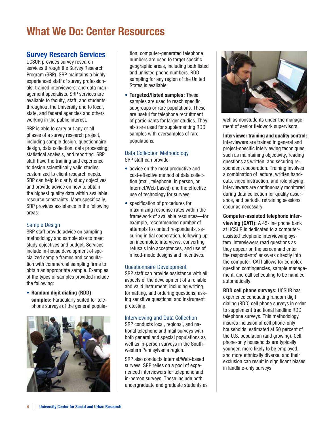# **What We Do: Center Resources**

## **Survey Research Services**

UCSUR provides survey research services through the Survey Research Program (SRP). SRP maintains a highly experienced staff of survey professionals, trained interviewers, and data management specialists. SRP services are available to faculty, staff, and students throughout the University and to local, state, and federal agencies and others working in the public interest.

SRP is able to carry out any or all phases of a survey research project, including sample design, questionnaire design, data collection, data processing, statistical analysis, and reporting. SRP staff have the training and experience to design scientifically valid studies customized to client research needs. SRP can help to clarify study objectives and provide advice on how to obtain the highest quality data within available resource constraints. More specifically, SRP provides assistance in the following areas:

#### Sample Design

SRP staff provide advice on sampling methodology and sample size to meet study objectives and budget. Services include in-house development of specialized sample frames and consultation with commercial sampling firms to obtain an appropriate sample. Examples of the types of samples provided include the following:

• **Random digit dialing (RDD) samples:** Particularly suited for telephone surveys of the general popula-



tion, computer-generated telephone numbers are used to target specific geographic areas, including both listed and unlisted phone numbers. RDD sampling for any region of the United States is available.

• **Targeted/listed samples:** These samples are used to reach specific subgroups or rare populations. These are useful for telephone recruitment of participants for larger studies. They also are used for supplementing RDD samples with oversamples of rare populations**.**

#### Data Collection Methodology SRP staff can provide:

- advice on the most productive and cost-effective method of data collection (mail, telephone, in person, or Internet/Web based) and the effective use of technology for surveys.
- specification of procedures for maximizing response rates within the framework of available resources—for example, recommended number of attempts to contact respondents, securing initial cooperation, following up on incomplete interviews, converting refusals into acceptances, and use of mixed-mode designs and incentives.

#### Questionnaire Development

SRP staff can provide assistance with all aspects of the development of a reliable and valid instrument, including writing, formatting, and ordering questions; asking sensitive questions; and instrument pretesting.

#### Interviewing and Data Collection

SRP conducts local, regional, and national telephone and mail surveys with both general and special populations as well as in-person surveys in the Southwestern Pennsylvania region.

SRP also conducts Internet/Web-based surveys. SRP relies on a pool of experienced interviewers for telephone and in-person surveys. These include both undergraduate and graduate students as



well as nonstudents under the management of senior fieldwork supervisors.

**Interviewer training and quality control:**  Interviewers are trained in general and project-specific interviewing techniques, such as maintaining objectivity, reading questions as written, and securing respondent cooperation. Training involves a combination of lecture, written handouts, video instruction, and role playing. Interviewers are continuously monitored during data collection for quality assurance, and periodic retraining sessions occur as necessary.

**Computer-assisted telephone interviewing (CATI):** A 45-line phone bank at UCSUR is dedicated to a computerassisted telephone interviewing system. Interviewers read questions as they appear on the screen and enter the respondents' answers directly into the computer. CATI allows for complex question contingencies, sample management, and call scheduling to be handled automatically.

**RDD cell phone surveys:** UCSUR has experience conducting random digit dialing (RDD) cell phone surveys in order to supplement traditional landline RDD telephone surveys. This methodology insures inclusion of cell phone-only households, estimated at 50 percent of the U.S. population (and growing). Cell phone-only households are typically younger, more likely to be employed, and more ethnically diverse, and their exclusion can result in significant biases in landline-only surveys.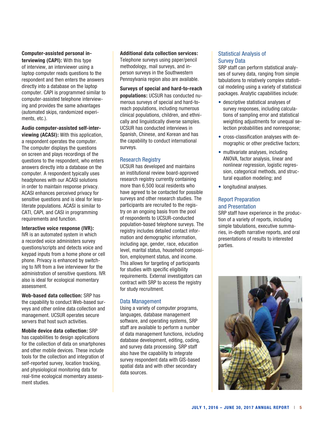#### **Computer-assisted personal in-**

**terviewing (CAPI):** With this type of interview, an interviewer using a laptop computer reads questions to the respondent and then enters the answers directly into a database on the laptop computer. CAPI is programmed similar to computer-assisted telephone interviewing and provides the same advantages (automated skips, randomized experiments, etc.).

**Audio computer-assisted self-interviewing (ACASI):** With this application, a respondent operates the computer. The computer displays the questions on screen and plays recordings of the questions to the respondent, who enters answers directly into a database on the computer. A respondent typically uses headphones with our ACASI solutions in order to maintain response privacy. ACASI enhances perceived privacy for sensitive questions and is ideal for lessliterate populations. ACASI is similar to CATI, CAPI, and CASI in programming requirements and function.

#### **Interactive voice response (IVR):**

IVR is an automated system in which a recorded voice administers survey questions/scripts and detects voice and keypad inputs from a home phone or cell phone. Privacy is enhanced by switching to IVR from a live interviewer for the administration of sensitive questions. IVR also is ideal for ecological momentary assessment.

**Web-based data collection:** SRP has the capability to conduct Web-based surveys and other online data collection and management. UCSUR operates secure servers that host such activities.

**Mobile device data collection:** SRP has capabilities to design applications for the collection of data on smartphones and other mobile devices. These include tools for the collection and integration of self-reported survey, location tracking, and physiological monitoring data for real-time ecological momentary assessment studies.

#### **Additional data collection services:**

Telephone surveys using paper/pencil methodology, mail surveys, and inperson surveys in the Southwestern Pennsylvania region also are available.

**Surveys of special and hard-to-reach populations:** UCSUR has conducted numerous surveys of special and hard-toreach populations, including numerous clinical populations, children, and ethnically and linguistically diverse samples. UCSUR has conducted interviews in Spanish, Chinese, and Korean and has the capability to conduct international surveys.

#### Research Registry

UCSUR has developed and maintains an institutional review board-approved research registry currently containing more than 6,500 local residents who have agreed to be contacted for possible surveys and other research studies. The participants are recruited to the registry on an ongoing basis from the pool of respondents to UCSUR-conducted population-based telephone surveys. The registry includes detailed contact information and demographic information, including age, gender, race, education level, marital status, household composition, employment status, and income. This allows for targeting of participants for studies with specific eligibility requirements. External investigators can contract with SRP to access the registry for study recruitment.

#### Data Management

Using a variety of computer programs, languages, database management software, and operating systems, SRP staff are available to perform a number of data management functions, including database development, editing, coding, and survey data processing. SRP staff also have the capability to integrate survey respondent data with GIS-based spatial data and with other secondary data sources.

#### Statistical Analysis of Survey Data

SRP staff can perform statistical analyses of survey data, ranging from simple tabulations to relatively complex statistical modeling using a variety of statistical packages. Analytic capabilities include:

- descriptive statistical analyses of survey responses, including calculations of sampling error and statistical weighting adjustments for unequal selection probabilities and nonresponse;
- cross-classification analyses with demographic or other predictive factors;
- multivariate analyses, including ANOVA, factor analysis, linear and nonlinear regression, logistic regression, categorical methods, and structural equation modeling; and
- longitudinal analyses.

## Report Preparation and Presentation

SRP staff have experience in the production of a variety of reports, including simple tabulations, executive summaries, in-depth narrative reports, and oral presentations of results to interested parties.

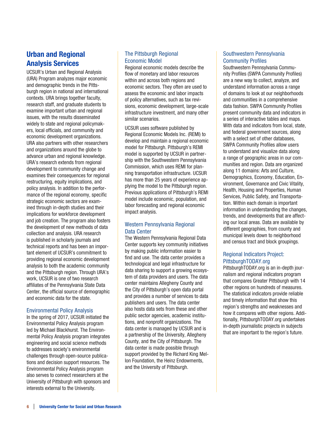# **Urban and Regional Analysis Services**

UCSUR's Urban and Regional Analysis (URA) Program analyzes major economic and demographic trends in the Pittsburgh region in national and international contexts. URA brings together faculty, research staff, and graduate students to examine important urban and regional issues, with the results disseminated widely to state and regional policymakers, local officials, and community and economic development organizations. URA also partners with other researchers and organizations around the globe to advance urban and regional knowledge. URA's research extends from regional development to community change and examines their consequences for regional restructuring, equity implications, and policy analysis. In addition to the performance of the regional economy, specific strategic economic sectors are examined through in-depth studies and their implications for workforce development and job creation. The program also fosters the development of new methods of data collection and analysis. URA research is published in scholarly journals and technical reports and has been an important element of UCSUR's commitment to providing regional economic development analysis to both the academic community and the Pittsburgh region. Through URA's work, UCSUR is one of two research affiliates of the Pennsylvania State Data Center, the official source of demographic and economic data for the state.

#### Environmental Policy Analysis

In the spring of 2017, UCSUR initiated the Environmental Policy Analysis program led by Michael Blackhurst. The Environmental Policy Analysis program integrates engineering and social science methods to addresses society's environmental challenges through open-source publications and decision support resources. The Environmental Policy Analysis program also serves to connect researchers at the University of Pittsburgh with sponsors and interests external to the University.

## The Pittsburgh Regional Economic Model

Regional economic models describe the flow of monetary and labor resources within and across both regions and economic sectors. They often are used to assess the economic and labor impacts of policy alternatives, such as tax revisions, economic development, large-scale infrastructure investment, and many other similar scenarios.

UCSUR uses software published by Regional Economic Models Inc. (REMI) to develop and maintain a regional economic model for Pittsburgh. Pittsburgh's REMI model is supported by UCSUR in partnership with the Southwestern Pennsylvania Commission, which uses REMI for planning transportation infrastructure. UCSUR has more than 25 years of experience applying the model to the Pittsburgh region. Previous applications of Pittsburgh's REMI model include economic, population, and labor forecasting and regional economic impact analysis.

## Western Pennsylvania Regional Data Center

The Western Pennsylvania Regional Data Center supports key community initiatives by making public information easier to find and use. The data center provides a technological and legal infrastructure for data sharing to support a growing ecosystem of data providers and users. The data center maintains Allegheny County and the City of Pittsburgh's open data portal and provides a number of services to data publishers and users. The data center also hosts data sets from these and other public sector agencies, academic institutions, and nonprofit organizations. The data center is managed by UCSUR and is a partnership of the University, Allegheny County, and the City of Pittsburgh. The data center is made possible through support provided by the Richard King Mellon Foundation, the Heinz Endowments, and the University of Pittsburgh.

## Southwestern Pennsylvania Community Profiles

Southwestern Pennsylvania Community Profiles (SWPA Community Profiles) are a new way to collect, analyze, and understand information across a range of domains to look at our neighborhoods and communities in a comprehensive data fashion. SWPA Community Profiles present community data and indicators in a series of interactive tables and maps. With data and indicators from local, state, and federal government sources, along with a select set of other databases, SWPA Community Profiles allow users to understand and visualize data along a range of geographic areas in our communities and region. Data are organized along 11 domains: Arts and Culture, Demographics, Economy, Education, Environment, Governance and Civic Vitality, Health, Housing and Properties, Human Services, Public Safety, and Transportation. Within each domain is important information in understanding the changes, trends, and developments that are affecting our local areas. Data are available by different geographies, from county and municipal levels down to neighborhood and census tract and block groupings.

## Regional Indicators Project: PittsburghTODAY.org

PittsburghTODAY.org is an in-depth journalism and regional indicators program that compares Greater Pittsburgh with 14 other regions on hundreds of measures. The statistical indicators provide reliable and timely information that show this region's strengths and weaknesses and how it compares with other regions. Additionally, PittsburghTODAY.org undertakes in-depth journalistic projects in subjects that are important to the region's future.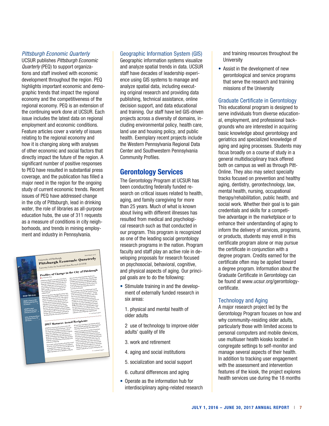#### *Pittsburgh Economic Quarterly*

UCSUR publishes *Pittsburgh Economic Quarterly* (PEQ) to support organizations and staff involved with economic development throughout the region. PEQ highlights important economic and demographic trends that impact the regional economy and the competitiveness of the regional economy. PEQ is an extension of the continuing work done at UCSUR. Each issue includes the latest data on regional employment and economic conditions. Feature articles cover a variety of issues relating to the regional economy and how it is changing along with analyses of other economic and social factors that directly impact the future of the region. A significant number of positive responses to PEQ have resulted in substantial press coverage, and the publication has filled a major need in the region for the ongoing study of current economic trends. Recent issues of PEQ have addressed change in the city of Pittsburgh, lead in drinking water, the role of libraries as all-purpose education hubs, the use of 311 requests as a measure of conditions in city neighborhoods, and trends in mining employment and industry in Pennsylvania.

| SETTEMBER 2017<br>University of Pittsburgh<br><b>Pittsburgh Economic Quarterly</b><br>University Center for Social and Urban Research (UCSUR)<br>Profiles of Change in the City of Pittsburgh<br>gains, but only minimal population decline has<br>by Christopher Brient<br>been reported in subsequent years. Between 2010<br>UCSUR has released a new report summarizing<br>and 2016, Census Burgau estimates show that the<br>recent demographic trends impacting the City of<br>city's population declined from 305,760 to 303,625,<br>Pittsburgh and the pattern of change within the<br>on overage annual population decline of less than<br>city. Using multiple years of data from the U.S.<br>0.1%, the slowest rate of population decline in<br>Census Bureau's American Community Survey<br>(ACS), a profile of change is compiled for the<br>more than six decades.<br>Recent stability in the City of Pittsburgh's overall<br>City of Patsburgh and each of its component<br>population level contrasts with continuing change<br>in the characteristics of city residents-change<br>neighborhoods.<br>Historical population data typically che the city's<br>that can be described using data from ACS. ACS<br><b>Inside This Issue</b><br>peak population as the 676,806 residents enumer-<br>uses a series of monthly samples to produce<br>ated in the 1950 decennial census, with criticing<br>estimates of a broad range of socioeconomic<br>decline recorded in all subsequent decades. In<br>variables for all areas within the United States. For<br>WPRDC a Partner in 2017<br>contrast with that long-term decline, the city's<br>geographic areas with a population larger than<br>National Leadership Grant<br>population has remained relatively stable since<br>65,000, ACS produces annual updates of popula-<br>2010. The most recent data from the Census<br>tion characteristics. For small geographic areas,<br>Bureau's Population Estimates Program (PEP)<br>including census tracts and block groups. ACS<br>show that the city's population increased slightly<br><b>UCSUR Personnel</b><br>reports data aggregated over five years of survey<br>between 2010 and 2011 for the first time in several<br>Administrator Receives<br>responses. City of Pittsburgh neighborhoods<br>Diversity Continentials  6<br>decades. More recent population estimates do<br>*** continued on page 4<br>not indicate that the city sustained population<br>.<br>Parameteria de la proposició de la proposició de la proposició de la proposició de la proposició de la proposi<br>Urban and Regional Brown<br>Reg Seminar Series Fall<br>2017 Eyerts<br>2017 Manners Award Recipients<br>RE exercises, techniques, and methods with the<br>goal of ultimately developing an optimal exercise<br>UCSUR has announced the winners of the 17th<br>physiology-based training intervention (EP11).<br>Annual Faculty Development Awards." This year<br>Wright's project will use ecological momentary<br>two grants were awarded to Courtenay Dunn-<br>assessment (EMA) techniques and passive<br>Lewis, PhD. Visiting Assistant Professor of Sports<br>sensing via smamphones to study the dynamic<br>Medicine and Nutrition in the Department of<br>processes of stress and responses to that stress<br>Health and Physical Activity at the University of<br>and how levels of personality disorder (PD) traits<br>Pittsburgh, and Aldan G.C. Wright, PhD, Assistant<br>amplify or dampen those processes. Over the<br>Professor in the Department of Psychology at the<br>course of two weeks, the project will follow a<br>University of Pittsburgh-<br>group of individuals with a range of personality<br>Dunn-Lewis' proposed project will examine social.<br>disorder traits using smartphones to intensively<br>structural, and personal barriers and facilitaters<br>sample their stressors, behaviors, and social<br>to entragement in resistance exercise (RE) among<br>older adults. The project will explore enjoy- |                                                       |
|-----------------------------------------------------------------------------------------------------------------------------------------------------------------------------------------------------------------------------------------------------------------------------------------------------------------------------------------------------------------------------------------------------------------------------------------------------------------------------------------------------------------------------------------------------------------------------------------------------------------------------------------------------------------------------------------------------------------------------------------------------------------------------------------------------------------------------------------------------------------------------------------------------------------------------------------------------------------------------------------------------------------------------------------------------------------------------------------------------------------------------------------------------------------------------------------------------------------------------------------------------------------------------------------------------------------------------------------------------------------------------------------------------------------------------------------------------------------------------------------------------------------------------------------------------------------------------------------------------------------------------------------------------------------------------------------------------------------------------------------------------------------------------------------------------------------------------------------------------------------------------------------------------------------------------------------------------------------------------------------------------------------------------------------------------------------------------------------------------------------------------------------------------------------------------------------------------------------------------------------------------------------------------------------------------------------------------------------------------------------------------------------------------------------------------------------------------------------------------------------------------------------------------------------------------------------------------------------------------------------------------------------------------------------------------------------------------------------------------------------------------------------------------------------------------------------------------------------------------------------------------------------------------------------------------------------------------------------------------------------------------------------------------------------------------------------------------------------------------------------------------------------------------------------------------------------------------------------------------------------------------------------------------------------------------------------------------------------------------------------------------------------------------------------------------------------------------------------------------------------------------------------------------------------------------------------------------------------------------------------------------------------------------------------------------------------------------------------------------------------------------------------------------------------------------------------------------------------------------------------------------------------------------------------------------------------------------------------------------------------------------------------------------------------------------|-------------------------------------------------------|
|                                                                                                                                                                                                                                                                                                                                                                                                                                                                                                                                                                                                                                                                                                                                                                                                                                                                                                                                                                                                                                                                                                                                                                                                                                                                                                                                                                                                                                                                                                                                                                                                                                                                                                                                                                                                                                                                                                                                                                                                                                                                                                                                                                                                                                                                                                                                                                                                                                                                                                                                                                                                                                                                                                                                                                                                                                                                                                                                                                                                                                                                                                                                                                                                                                                                                                                                                                                                                                                                                                                                                                                                                                                                                                                                                                                                                                                                                                                                                                                                                                                     |                                                       |
|                                                                                                                                                                                                                                                                                                                                                                                                                                                                                                                                                                                                                                                                                                                                                                                                                                                                                                                                                                                                                                                                                                                                                                                                                                                                                                                                                                                                                                                                                                                                                                                                                                                                                                                                                                                                                                                                                                                                                                                                                                                                                                                                                                                                                                                                                                                                                                                                                                                                                                                                                                                                                                                                                                                                                                                                                                                                                                                                                                                                                                                                                                                                                                                                                                                                                                                                                                                                                                                                                                                                                                                                                                                                                                                                                                                                                                                                                                                                                                                                                                                     |                                                       |
|                                                                                                                                                                                                                                                                                                                                                                                                                                                                                                                                                                                                                                                                                                                                                                                                                                                                                                                                                                                                                                                                                                                                                                                                                                                                                                                                                                                                                                                                                                                                                                                                                                                                                                                                                                                                                                                                                                                                                                                                                                                                                                                                                                                                                                                                                                                                                                                                                                                                                                                                                                                                                                                                                                                                                                                                                                                                                                                                                                                                                                                                                                                                                                                                                                                                                                                                                                                                                                                                                                                                                                                                                                                                                                                                                                                                                                                                                                                                                                                                                                                     |                                                       |
| context in daily life as it is lived. Participants will<br>*** continued on page 2                                                                                                                                                                                                                                                                                                                                                                                                                                                                                                                                                                                                                                                                                                                                                                                                                                                                                                                                                                                                                                                                                                                                                                                                                                                                                                                                                                                                                                                                                                                                                                                                                                                                                                                                                                                                                                                                                                                                                                                                                                                                                                                                                                                                                                                                                                                                                                                                                                                                                                                                                                                                                                                                                                                                                                                                                                                                                                                                                                                                                                                                                                                                                                                                                                                                                                                                                                                                                                                                                                                                                                                                                                                                                                                                                                                                                                                                                                                                                                  |                                                       |
|                                                                                                                                                                                                                                                                                                                                                                                                                                                                                                                                                                                                                                                                                                                                                                                                                                                                                                                                                                                                                                                                                                                                                                                                                                                                                                                                                                                                                                                                                                                                                                                                                                                                                                                                                                                                                                                                                                                                                                                                                                                                                                                                                                                                                                                                                                                                                                                                                                                                                                                                                                                                                                                                                                                                                                                                                                                                                                                                                                                                                                                                                                                                                                                                                                                                                                                                                                                                                                                                                                                                                                                                                                                                                                                                                                                                                                                                                                                                                                                                                                                     |                                                       |
|                                                                                                                                                                                                                                                                                                                                                                                                                                                                                                                                                                                                                                                                                                                                                                                                                                                                                                                                                                                                                                                                                                                                                                                                                                                                                                                                                                                                                                                                                                                                                                                                                                                                                                                                                                                                                                                                                                                                                                                                                                                                                                                                                                                                                                                                                                                                                                                                                                                                                                                                                                                                                                                                                                                                                                                                                                                                                                                                                                                                                                                                                                                                                                                                                                                                                                                                                                                                                                                                                                                                                                                                                                                                                                                                                                                                                                                                                                                                                                                                                                                     |                                                       |
|                                                                                                                                                                                                                                                                                                                                                                                                                                                                                                                                                                                                                                                                                                                                                                                                                                                                                                                                                                                                                                                                                                                                                                                                                                                                                                                                                                                                                                                                                                                                                                                                                                                                                                                                                                                                                                                                                                                                                                                                                                                                                                                                                                                                                                                                                                                                                                                                                                                                                                                                                                                                                                                                                                                                                                                                                                                                                                                                                                                                                                                                                                                                                                                                                                                                                                                                                                                                                                                                                                                                                                                                                                                                                                                                                                                                                                                                                                                                                                                                                                                     | ability, tolerability, and acceptability of different |

#### Geographic Information System (GIS)

Geographic information systems visualize and analyze spatial trends in data. UCSUR staff have decades of leadership experience using GIS systems to manage and analyze spatial data, including executing original research and providing data publishing, technical assistance, online decision support, and data educational and training. Our staff have led GIS-driven projects across a diversity of domains, including environmental policy, health care, land use and housing policy, and public health. Exemplary recent projects include the Western Pennsylvania Regional Data Center and Southwestern Pennsylvania Community Profiles.

## **Gerontology Services**

The Gerontology Program at UCSUR has been conducting federally funded research on critical issues related to health, aging, and family caregiving for more than 25 years. Much of what is known about living with different illnesses has resulted from medical and psychological research such as that conducted in our program. This program is recognized as one of the leading social gerontology research programs in the nation. Program faculty and staff play an active role in developing proposals for research focused on psychosocial, behavioral, cognitive, and physical aspects of aging. Our principal goals are to do the following:

• Stimulate training in and the development of externally funded research in six areas:

1. physical and mental health of older adults

2 use of technology to improve older adults' quality of life

- 3. work and retirement
- 4. aging and social institutions
- 5. socialization and social support
- 6. cultural differences and aging
- Operate as the information hub for interdisciplinary aging-related research

and training resources throughout the **University** 

• Assist in the development of new gerontological and service programs that serve the research and training missions of the University

#### Graduate Certificate in Gerontology

This educational program is designed to serve individuals from diverse educational, employment, and professional backgrounds who are interested in acquiring basic knowledge about gerontology and geriatrics and specialized knowledge of aging and aging processes. Students may focus broadly on a course of study in a general multidisciplinary track offered both on campus as well as through Pitt-Online. They also may select specialty tracks focused on prevention and healthy aging, dentistry, gerontechnology, law, mental health, nursing, occupational therapy/rehabilitation, public health, and social work. Whether their goal is to gain credentials and skills for a competitive advantage in the marketplace or to enhance their understanding of aging to inform the delivery of services, programs, or products, students may enroll in this certificate program alone or may pursue the certificate in conjunction with a degree program. Credits earned for the certificate often may be applied toward a degree program. Information about the Graduate Certificate in Gerontology can be found at www.ucsur.org/gerontologycertificate.

#### Technology and Aging

A major research project led by the Gerontology Program focuses on how and why community-residing older adults, particularly those with limited access to personal computers and mobile devices, use multiuser health kiosks located in congregate settings to self-monitor and manage several aspects of their health. In addition to tracking user engagement with the assessment and intervention features of the kiosk, the project explores health services use during the 18 months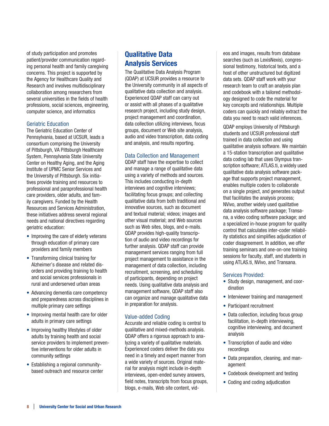of study participation and promotes patient/provider communication regarding personal health and family caregiving concerns. This project is supported by the Agency for Healthcare Quality and Research and involves multidisciplinary collaboration among researchers from several universities in the fields of health professions, social sciences, engineering, computer science, and informatics

#### Geriatric Education

The Geriatric Education Center of Pennsylvania, based at UCSUR, leads a consortium comprising the University of Pittsburgh, VA Pittsburgh Healthcare System, Pennsylvania State University Center on Healthy Aging, and the Aging Institute of UPMC Senior Services and the University of Pittsburgh. Six initiatives provide training and resources to professional and paraprofessional health care providers, older adults, and family caregivers. Funded by the Health Resources and Services Administration, these initiatives address several regional needs and national directives regarding geriatric education:

- Improving the care of elderly veterans through education of primary care providers and family members
- Transforming clinical training for Alzheimer's disease and related disorders and providing training to health and social services professionals in rural and underserved urban areas
- Advancing dementia care competency and preparedness across disciplines in multiple primary care settings
- Improving mental health care for older adults in primary care settings
- Improving healthy lifestyles of older adults by training health and social service providers to implement preventive interventions for older adults in community settings
- Establishing a regional communitybased outreach and resource center

# **Qualitative Data Analysis Services**

The Qualitative Data Analysis Program (QDAP) at UCSUR provides a resource to the University community in all aspects of qualitative data collection and analysis. Experienced QDAP staff can carry out or assist with all phases of a qualitative research project, including study design, project management and coordination, data collection utilizing interviews, focus groups, document or Web site analysis, audio and video transcription, data coding and analysis, and results reporting.

#### Data Collection and Management

QDAP staff have the expertise to collect and manage a range of qualitative data using a variety of methods and sources. This includes conducting in-depth interviews and cognitive interviews; facilitating focus groups; and collecting qualitative data from both traditional and innovative sources, such as document and textual material; videos; images and other visual material; and Web sources such as Web sites, blogs, and e-mails. QDAP provides high-quality transcription of audio and video recordings for further analysis. QDAP staff can provide management services ranging from full project management to assistance in the management of data collection, including recruitment, screening, and scheduling of participants, depending on project needs. Using qualitative data analysis and management software, QDAP staff also can organize and manage qualitative data in preparation for analysis.

#### Value-added Coding

Accurate and reliable coding is central to qualitative and mixed-methods analysis. QDAP offers a rigorous approach to analyzing a variety of qualitative materials. Experienced coders deliver the data you need in a timely and expert manner from a wide variety of sources. Original material for analysis might include in-depth interviews, open-ended survey answers, field notes, transcripts from focus groups, blogs, e-mails, Web site content, videos and images, results from database searches (such as LexisNexis), congressional testimony, historical texts, and a host of other unstructured but digitized data sets. QDAP staff work with your research team to craft an analysis plan and codebook with a tailored methodology designed to code the material for key concepts and relationships. Multiple coders can quickly and reliably extract the data you need to reach valid inferences.

QDAP employs University of Pittsburgh students and UCSUR professional staff trained in data collection and using qualitative analysis software. We maintain a 15-station transcription and qualitative data coding lab that uses Olympus transcription software; ATLAS.ti, a widely used qualitative data analysis software package that supports project management, enables multiple coders to collaborate on a single project, and generates output that facilitates the analysis process; NVivo, another widely used qualitative data analysis software package; Transana, a video coding software package; and a specialized in-house program for quality control that calculates inter-coder reliability statistics and simplifies adjudication of coder disagreement. In addition, we offer training seminars and one-on-one training sessions for faculty, staff, and students in using ATLAS.ti, NVivo, and Transana.

#### Services Provided:

- Study design, management, and coordination
- Interviewer training and management
- Participant recruitment
- Data collection, including focus group facilitation, in-depth interviewing, cognitive interviewing, and document analysis
- Transcription of audio and video recordings
- Data preparation, cleaning, and management
- Codebook development and testing
- Coding and coding adjudication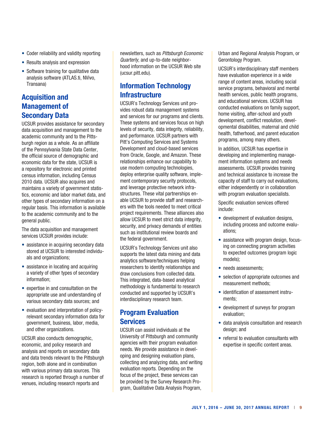- Coder reliability and validity reporting
- Results analysis and expression
- Software training for qualitative data analysis software (ATLAS.ti, NVivo, Transana)

## **Acquisition and Management of Secondary Data**

UCSUR provides assistance for secondary data acquisition and management to the academic community and to the Pittsburgh region as a whole. As an affiliate of the Pennsylvania State Data Center, the official source of demographic and economic data for the state, UCSUR is a repository for electronic and printed census information, including Census 2010 data. UCSUR also acquires and maintains a variety of government statistics, economic and labor market data, and other types of secondary information on a regular basis. This information is available to the academic community and to the general public.

The data acquisition and management services UCSUR provides include:

- assistance in acquiring secondary data stored at UCSUR to interested individuals and organizations;
- assistance in locating and acquiring a variety of other types of secondary information;
- expertise in and consultation on the appropriate use and understanding of various secondary data sources; and
- evaluation and interpretation of policyrelevant secondary information data for government, business, labor, media, and other organizations.

UCSUR also conducts demographic, economic, and policy research and analysis and reports on secondary data and data trends relevant to the Pittsburgh region, both alone and in combination with various primary data sources. This research is reported through a number of venues, including research reports and

newsletters, such as *Pittsburgh Economic Quarterly*, and up-to-date neighborhood information on the UCSUR Web site (ucsur.pitt.edu).

# **Information Technology Infrastructure**

UCSUR's Technology Services unit provides robust data management systems and services for our programs and clients. These systems and services focus on high levels of security, data integrity, reliability, and performance. UCSUR partners with Pitt's Computing Services and Systems Development and cloud-based services from Oracle, Google, and Amazon. These relationships enhance our capability to use modern computing technologies, deploy enterprise quality software, implement contemporary security protocols, and leverage protective network infrastructures. These vital partnerships enable UCSUR to provide staff and researchers with the tools needed to meet critical project requirements. These alliances also allow UCSUR to meet strict data integrity, security, and privacy demands of entities such as institutional review boards and the federal government.

UCSUR's Technology Services unit also supports the latest data mining and data analytics software/techniques helping researchers to identify relationships and draw conclusions from collected data. This integrated, data-based analytical methodology is fundamental to research conducted and supported by UCSUR's interdisciplinary research team.

# **Program Evaluation Services**

UCSUR can assist individuals at the University of Pittsburgh and community agencies with their program evaluation needs. We provide assistance in developing and designing evaluation plans, collecting and analyzing data, and writing evaluation reports. Depending on the focus of the project, these services can be provided by the Survey Research Program, Qualitative Data Analysis Program,

Urban and Regional Analysis Program, or Gerontology Program.

UCSUR's interdisciplinary staff members have evaluation experience in a wide range of content areas, including social service programs, behavioral and mental health services, public health programs, and educational services. UCSUR has conducted evaluations on family support, home visiting, after-school and youth development, conflict resolution, developmental disabilities, maternal and child health, fatherhood, and parent education programs, among many others.

In addition, UCSUR has expertise in developing and implementing management information systems and needs assessments. UCSUR provides training and technical assistance to increase the capacity of staff to carry out evaluations, either independently or in collaboration with program evaluation specialists.

Specific evaluation services offered include:

- development of evaluation designs, including process and outcome evaluations;
- assistance with program design, focusing on connecting program activities to expected outcomes (program logic models);
- needs assessments;
- selection of appropriate outcomes and measurement methods;
- identification of assessment instruments;
- development of surveys for program evaluation;
- data analysis consultation and research design; and
- referral to evaluation consultants with expertise in specific content areas.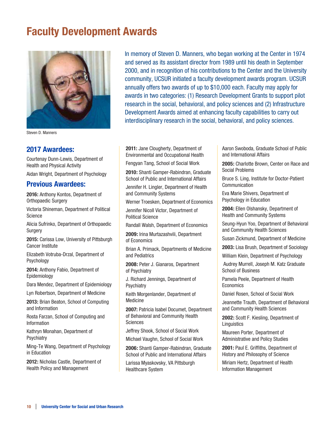# **Faculty Development Awards**



Steven D. Manners

## **2017 Awardees:**

Courtenay Dunn-Lewis, Department of Health and Physical Activity

Aidan Wright, Department of Psychology

## **Previous Awardees:**

**2016:** Anthony Kontos, Department of Orthopaedic Surgery

Victoria Shineman, Department of Political Science

Alicia Sufrinko, Department of Orthopaedic Surgery

**2015:** Carissa Low, University of Pittsburgh Cancer Institute

Elizabeth Votruba-Drzal, Department of Psychology

**2014:** Anthony Fabio, Department of Epidemiology

Dara Mendez, Department of Epidemiology

Lyn Robertson, Department of Medicine

**2013:** Brian Beaton, School of Computing and Information

Rosta Farzan, School of Computing and Information

Kathryn Monahan, Department of **Psychiatry** 

Ming-Te Wang, Department of Psychology in Education

**2012:** Nicholas Castle, Department of Health Policy and Management

In memory of Steven D. Manners, who began working at the Center in 1974 and served as its assistant director from 1989 until his death in September 2000, and in recognition of his contributions to the Center and the University community, UCSUR initiated a faculty development awards program. UCSUR annually offers two awards of up to \$10,000 each. Faculty may apply for awards in two categories: (1) Research Development Grants to support pilot research in the social, behavioral, and policy sciences and (2) Infrastructure Development Awards aimed at enhancing faculty capabilities to carry out interdisciplinary research in the social, behavioral, and policy sciences.

**2011:** Jane Clougherty, Department of Environmental and Occupational Health

Fengyan Tang, School of Social Work

**2010:** Shanti Gamper-Rabindran, Graduate School of Public and International Affairs

Jennifer H. Lingler, Department of Health and Community Systems

Werner Troesken, Department of Economics

Jennifer Nicoll Victor, Department of Political Science

Randall Walsh, Department of Economics

**2009:** Irina Murtazashvili, Department of Economics

Brian A. Primack, Departments of Medicine and Pediatrics

**2008:** Peter J. Gianaros, Department of Psychiatry

J. Richard Jennings, Department of **Psychiatry** 

Keith Morgenlander, Department of Medicine

**2007:** Patricia Isabel Documet, Department of Behavioral and Community Health Sciences

Jeffrey Shook, School of Social Work Michael Vaughn, School of Social Work

**2006:** Shanti Gamper-Rabindran, Graduate School of Public and International Affairs

Larissa Myaskovsky, VA Pittsburgh Healthcare System

Aaron Swoboda, Graduate School of Public and International Affairs

**2005:** Charlotte Brown, Center on Race and Social Problems

Bruce S. Ling, Institute for Doctor-Patient Communication

Eva Marie Shivers, Department of Psychology in Education

**2004:** Ellen Olshansky, Department of Health and Community Systems

Seung-Hyun Yoo, Department of Behavioral and Community Health Sciences

Susan Zickmund, Department of Medicine

**2003:** Lisa Brush, Department of Sociology

William Klein, Department of Psychology

 Audrey Murrell, Joseph M. Katz Graduate School of Business

Pamela Peele, Department of Health **Economics** 

Daniel Rosen, School of Social Work

Jeannette Trauth, Department of Behavioral and Community Health Sciences

**2002:** Scott F. Kiesling, Department of **Linguistics** 

Maureen Porter, Department of Administrative and Policy Studies

**2001:** Paul E. Griffiths, Department of History and Philosophy of Science

Miriam Hertz, Department of Health Information Management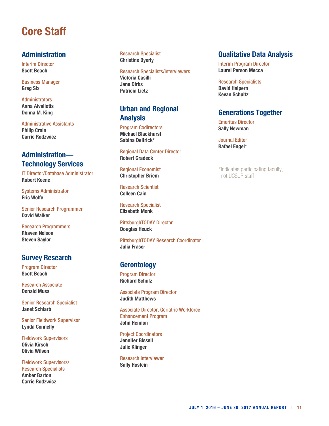# **Core Staff**

## **Administration**

Interim Director **Scott Beach**

Business Manager **Greg Six** 

**Administrators Anna Aivaliotis Donna M. King** 

Administrative Assistants **Philip Crain Carrie Rodzwicz**

## **Administration— Technology Services**

IT Director/Database Administrator **Robert Keene**

Systems Administrator **Eric Wolfe** 

Senior Research Programmer **David Walker** 

Research Programmers **Rhaven Nelson Steven Saylor** 

## **Survey Research**

Program Director **Scott Beach**

Research Associate **Donald Musa** 

Senior Research Specialist **Janet Schlarb**

Senior Fieldwork Supervisor **Lynda Connelly**

Fieldwork Supervisors **Olivia Kirsch Olivia Wilson**

Fieldwork Supervisors/ Research Specialists **Amber Barton Carrie Rodzwicz**

Research Specialist **Christine Byerly**

Research Specialists/Interviewers **Victoria Casilli Jane Dirks Patricia Lietz**

# **Urban and Regional Analysis**

Program Codirectors **Michael Blackhurst Sabina Deitrick\***

Regional Data Center Director **Robert Gradeck** 

Regional Economist **Christopher Briem**

Research Scientist **Colleen Cain**

Research Specialist **Elizabeth Monk** 

PittsburghTODAY Director **Douglas Heuck**

PittsburghTODAY Research Coordinator **Julia Fraser** 

## **Gerontology**

Program Director **Richard Schulz** 

Associate Program Director **Judith Matthews**

Associate Director, Geriatric Workforce Enhancement Program **John Hennon** 

Project Coordinators

**Jennifer Bissell Julie Klinger**

#### Research Interviewer **Sally Hostein**

# **Qualitative Data Analysis**

Interim Program Director **Laurel Person Mecca**

Research Specialists **David Halpern Kevan Schultz**

## **Generations Together**

Emeritus Director **Sally Newman**

Journal Editor **Rafael Engel\***

\*Indicates participating faculty, not UCSUR staff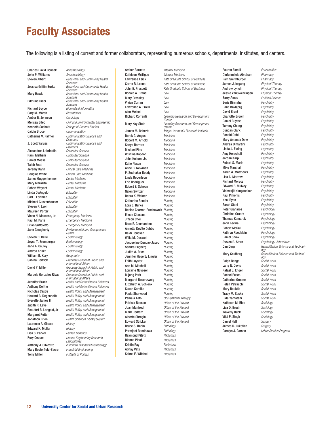# **Faculty Associates**

The following is a listing of current and former collaborators, representing numerous schools, departments, institutes, and centers.

Charles David Boucek *Anesthesiology* John P. Williams *Anesthesiology*

Gary M. Marsh *Biostatistics* Amber E. Johnson *Cardiology* Caitlin Bruce *Communication*

Alexandros Labrinidis *Computer Science* Rami Melhem *Computer Science* Daniel Mosse *Computer Science* Taieb Znati *Computer Science* Jeremy Kahn *Critical Care Medicine* Douglas White *Critical Care Medicine* James Guggenheimer *Dental Medicine* Mary Marazita *Dental Medicine* Robert Weyant *Dental Medicine* Linda DeAngelo *Education* Carl I. Fertman *Education* Michael Gunzenhauser *Education* Steven R. Lyon *Education* Maureen Porter *Education* Vince N. Mosesso, Jr. *Emergency Medicine* Paul M. Paris *Emergency Medicine* Brian Suffoletto *Emergency Medicine*

**Steven H. Belle** Joyce T. Bromberger *Epidemiology* Jane A. Cauley *Epidemiology* Andrea Kriska *Epidemiology* **William B. Kory** *Geography*<br>**Sabina Deitrick** *Graduate S.* 

Laurence A. Glasco *History* Edward K. Muller *History* Lisa S. Parker *Human Genetics*

Mary Besterfield-Sacre *Industrial Engineering* Terry Miller *Institute of Politics*

Steven Albert *Behavioral and Community Health Sciences* Jessica Griffin Burke *Behavioral and Community Health Sciences* Mary Hawk *Behavioral and Community Health Sciences* Edmund Ricci *Behavioral and Community Health Sciences* Richard Boyce *Biomedical Informatics* Melissa Bilec *Civil and Environmental Engineering* Kenneth Sochats *College of General Studies* Communication Science and *Disorders* J. Scott Yaruss *Communication Science and Disorders* Jane Clougherty *Environmental and Occupational Health* Graduate School of Public and *International Affairs* David Y. Miller *Graduate School of Public and International Affairs* Marcela Gonzalez Rivas *Graduate School of Public and International Affairs* Jennifer Brach *Health and Rehabilitation Sciences* Anthony Delitto *Health and Rehabilitation Sciences* Nicholas Castle *Health Policy and Management* Howard B. Degenholtz *Health Policy and Management* Everette James III *Health Policy and Management* Judith R. Lave *Health Policy and Management* **Health Policy and Management** Margaret Potter *Health Policy and Management* Jonathon Erlen *Health Sciences Library System* Rory Cooper *Human Engineering Research Laboratories* Anthony J. Silvestre *Infectious Diseases/Microbiology*

Ronald A. Brand *Law* Mary Crossley *Law* Vivian Curran *Law* Lawrence A. Frolik *Law* Alan Meisel *Law* Derek C. Angus *Medicine* Robert M. Arnold *Medicine* Sonya Borrero Michael Fine *Medicine* Wishwa Kapoor *Medicine* John Kellum, Jr. Katie Nason *Medicine* Anne B. Newman *Medicine* P. Sudhakar Reddy *Medicine* Linda Robertson *Medicine* Eric Rodriguez *Medicine* Robert E. Schoen *Medicine* Galen Switzer *Medicine* Debra K. Weiner *Medicine* **Catherine Bender** *Nursing*<br> **Lora E. Burke** *Nursing* Lora F. Burke Denise Charron-Prochownik *Nursing* Eileen Chasens *Nursing* **JiYeon Choi** *Nursing*<br>Rose E. Constantino *Nursing* **Rose E. Constantino** Annette DeVito Dabbs *Nursing* Heidi Donovan *Nursing* Willa M. Doswell **Nursing**<br>Jacqueline Dunbar-Jacob Nursing Jacqueline Dunbar-Jacob *Nursing* Sandra Engberg *Nursing* Judith A. Erlen *Nursing* Jennifer Hagerty Lingler *Nursing* Faith Luyster *Nursing* Ann M. Mitchell *Nursing* Lorraine Novosel *Nursing* Mijung Park *Nursing* Margaret Rosenzweig *Nursing* Elizabeth A. Schlenk *Nursing* Susan Sereika *Nursing* Paula Sherwood *Nursing* **Pamela Toto** *Occupational Therapy*<br> **Patricia Beeson** *Office of the Provost* Juan Manfredi *Office of the Provost* Mark Redfern *Office of the Provost* Alberta Sbragia *Office of the Provost* Edward Stricker *Office of the Provost* Bruce S. Rabin *Pathology* Parmjeet Randhawa *Pathology* Raymond Pitetti *Pediatrics* Dianna Ploof *Pediatrics* Kristin Ray *Pediatrics* Abhay Vats *Pediatrics*

Amber Barnato *Internal Medicine* Kathleen McTigue *Internal Medicine* Lawrence Feick *Katz Graduate School of Business* Carrie R. Leana *Katz Graduate School of Business* John E. Prescott *Katz Graduate School of Business* Richard Correnti *Learning Research and Development Center* Mary Kay Stein *Learning Research and Development Center* James M. Roberts *Magee-Women's Research Institute* **Office of the Provost** Selma F. Witchel *Pediatrics*

Pouran Famili *Periodontics* Olufunmilola Abraham *Pharmacy* Pam Smithburger *Pharmacy* James J. Irrgang *Physical Therapy* Andrew Lynch *Physical Therapy* Jessie VanSwearingen *Physical Therapy* Barry Ames *Political Science* Boris Birmaher *Psychiatry* Dana Bovbjerg *Psychiatry* David Brent *Psychiatry* Charlotte Brown *Psychiatry* Daniel Buysse *Psychiatry* Tammy Chung *Psychiatry* Duncan Clark *Psychiatry* Ronald Dahl *Psychiatry* Mary Amanda Dew *Psychiatry* Andrea Dimartini *Psychiatry* Linda J. Ewing *Psychiatry* Amy Herschell *Psychiatry* Jordan Karp *Psychiatry* Robert S. Marin *Psychiatry* Mike Marshal *Psychiatry* Karen A. Matthews *Psychiatry* Lisa A. Morrow *Psychiatry* Richard Morycz *Psychiatry* Edward P. Mulvey *Psychiatry* Vishwajit Nimgaonkar *Psychiatry* Paul Pilkonis *Psychiatry* Neal Ryan *Psychiatry* Sarah Stahl *Psychiatry* Peter Gianaros *Psychology* Christina Groark *Psychology* Thomas Kamarck *Psychology* John Levine *Psychology* Robert McCall *Psychology* Kathryn Roecklein *Psychology* Daniel Shaw *Psychology* Ralph Bangs *Social Work* Larry E. Davis *Social Work* Rafael J. Engel *Social Work* Rachel Fusco *Social Work* Catherine Greeno *Social Work* Helen Petracchi *Social Work* Mary Rauktis *Social Work* Tracy M. Soska *Social Work* **Hide Yamatani** Kathleen M. Blee *Sociology* Lisa D. Brush *Sociology* Waverly Duck *Sociology* Vijai P. Singh *Sociology*

Carolyn J. Carson *Urban Studies Program*

Steven E. Stern *Psychology-Johnstown* Dan Ding *Rehabilitation Science and Technology* Mary Goldberg *Rehabilitation Science and Technol- ogy* Daniel Hall *Surgery* James D. Luketich *Surgery*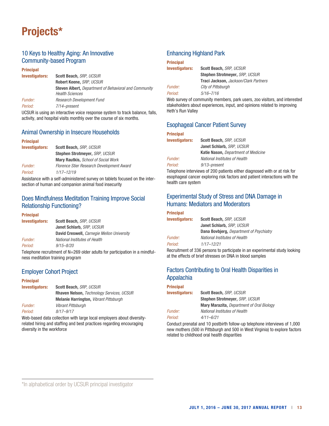# **Projects\***

## 10 Keys to Healthy Aging: An Innovative Community-based Program

**Principal** 

| .                     |                                                                                        |
|-----------------------|----------------------------------------------------------------------------------------|
| <b>Investigators:</b> | Scott Beach, SRP, UCSUR                                                                |
|                       | Robert Keene, SRP, UCSUR                                                               |
|                       | <b>Steven Albert, Department of Behavioral and Community</b><br><b>Health Sciences</b> |
| Funder:               | <b>Research Development Fund</b>                                                       |
| Period:               | 7/14-present                                                                           |
|                       | UCSUR is using an interactive voice response system to track balance, falls,           |

activity, and hospital visits monthly over the course of six months.

### Animal Ownership in Insecure Households

#### **Principal** Investigators: **Scott Beach,** *SRP, UCSUR* **Stephen Strotmeyer,** *SRP, UCSUR* **Mary Rautkis,** *School of Social Work Funder: Florence Stier Research Development Award Period: 1/17–12/19*

Assistance with a self-administered survey on tablets focused on the intersection of human and companion animal food insecurity

## Does Mindfulness Meditation Training Improve Social Relationship Functioning?

Principal

| rniigipai             |                                                                             |
|-----------------------|-----------------------------------------------------------------------------|
| <b>Investigators:</b> | <b>Scott Beach, SRP, UCSUR</b>                                              |
|                       | Janet Schlarb, SRP, UCSUR                                                   |
|                       | David Creswell, Carnegie Mellon University                                  |
| <i><b>Funder:</b></i> | National Institutes of Health                                               |
| Period:               | $9/15 - 8/20$                                                               |
|                       | Telephone recruitment of N=269 older adults for participation in a mindful- |

Employer Cohort Project

ness meditation training program

#### **Principal**

| <b>Investigators:</b> | <b>Scott Beach, SRP, UCSUR</b>                   |
|-----------------------|--------------------------------------------------|
|                       | <b>Rhaven Nelson, Technology Services, UCSUR</b> |
|                       | <b>Melanie Harrington, Vibrant Pittsburgh</b>    |
| <b>Funder:</b>        | Vibrant Pittsburgh                               |
| Period:               | $8/17 - 9/17$                                    |

Web-based data collection with large local employers about diversityrelated hiring and staffing and best practices regarding encouraging diversity in the workforce

## Enhancing Highland Park

#### Principal

| <b>Investigators:</b> | <b>Scott Beach, SRP, UCSUR</b>        |
|-----------------------|---------------------------------------|
|                       | Stephen Strotmeyer, SRP, UCSUR        |
|                       | Traci Jackson, Jackson/Clark Partners |
| Funder:               | City of Pittsburgh                    |
| Period:               | $5/16 - 7/16$                         |

Web survey of community members, park users, zoo visitors, and interested stakeholders about experiences, input, and opinions related to improving Heth's Run Valley

**Department of Medicine** 

## Esophageal Cancer Patient Survey

#### Principal

| <b>Investigators:</b> | Scott Beach, SRP, UCSUR       |
|-----------------------|-------------------------------|
|                       | Janet Schlarb, SRP. UCSUR     |
|                       | Katie Nason, Department of    |
| Funder:               | National Institutes of Health |
| Period:               | 9/13-present                  |

Telephone interviews of 200 patients either diagnosed with or at risk for esophageal cancer exploring risk factors and patient interactions with the health care system

## Experimental Study of Stress and DNA Damage in Humans: Mediators and Moderators

#### **Principal**

| <b>Investigators:</b> | Scott Beach, SRP, UCSUR                                          |
|-----------------------|------------------------------------------------------------------|
|                       | Janet Schlarb, SRP. UCSUR                                        |
|                       | <b>Dana Boybjerg, Department of Psychiatry</b>                   |
| <i><b>Funder:</b></i> | National Institutes of Health                                    |
| Period:               | $1/17 - 12/21$                                                   |
|                       | Described out of OOO concerns to constitute to be seen colorated |

Recruitment of 336 persons to participate in an experimental study looking at the effects of brief stresses on DNA in blood samples

## Factors Contributing to Oral Health Disparities in Appalachia

#### Principal

| <b>Investigators:</b> | Scott Beach, SRP, UCSUR                          |
|-----------------------|--------------------------------------------------|
|                       | Stephen Strotmeyer, SRP, UCSUR                   |
|                       | <b>Mary Marazita, Department of Oral Biology</b> |
| <b>Funder:</b>        | National Institutes of Health                    |
| Period:               | $4/11 - 6/21$                                    |

Conduct prenatal and 10 postbirth follow-up telephone interviews of 1,000 new mothers (500 in Pittsburgh and 500 in West Virginia) to explore factors related to childhood oral health disparities

\*In alphabetical order by UCSUR principal investigator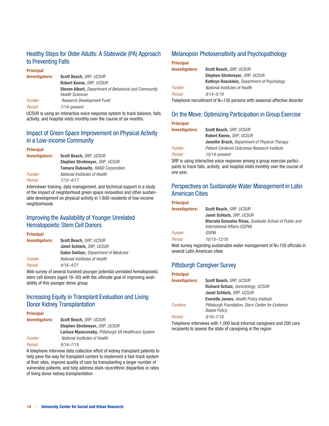## Healthy Steps for Older Adults: A Statewide (PA) Approach to Preventing Falls

#### Principal

| <b>Investigators:</b> | <b>Scott Beach, SRP, UCSUR</b>                                             |
|-----------------------|----------------------------------------------------------------------------|
|                       | Robert Keene, SRP, UCSUR                                                   |
|                       | <b>Steven Albert, Department of Behavioral and Community</b>               |
|                       | <b>Health Sciences</b>                                                     |
| <b>Funder:</b>        | <b>Research Development Fund</b>                                           |
| Period:               | 7/14-present                                                               |
|                       | HOOHD is using an interestive vales response system to treat belongs, fell |

UCSUR is using an interactive voice response system to track balance, falls, activity, and hospital visits monthly over the course of six months.

### Impact of Green Space Improvement on Physical Activity in a Low-income Community

#### Principal

| <b>Investigators:</b> | Scott Beach, SRP, UCSUR                  |
|-----------------------|------------------------------------------|
|                       | <b>Stephen Strotmever, SRP, UCSUR</b>    |
|                       | <b>Tamara Dubowitz.</b> RAND Corporation |
| <b>Funder:</b>        | National Institutes of Health            |
| Period:               | $7/12 - 4/17$                            |
|                       |                                          |

Interviewer training, data management, and technical support in a study of the impact of neighborhood green space renovation and other sustainable development on physical activity in 1,600 residents of low-income neighborhoods

### Improving the Availability of Younger Unrelated Hematopoietic Stem Cell Donors

Principal

| <b>Investigators:</b> | <b>Scott Beach, SRP, UCSUR</b>               |
|-----------------------|----------------------------------------------|
|                       | Janet Schlarb, SRP, UCSUR                    |
|                       | <b>Galen Switzer, Department of Medicine</b> |
| <b>Funder:</b>        | National Institutes of Health                |
| Period:               | $4/16 - 4/21$                                |

Web survey of several hundred younger potential unrelated hematopoietic stem cell donors (aged 18–30) with the ultimate goal of improving availability of this younger donor group

## Increasing Equity in Transplant Evaluation and Living Donor Kidney Transplantation

Principal

| <b>Investigators:</b> | <b>Scott Beach, SRP, UCSUR</b>                      |
|-----------------------|-----------------------------------------------------|
|                       | Stephen Strotmever, SRP, UCSUR                      |
|                       | Larissa Myascovsky, Pittsburgh VA Healthcare System |
| Funder:               | National Institutes of Health                       |
| Period:               | $9/14 - 7/19$                                       |

A telephone interview data collection effort of kidney transplant patients to help pave the way for transplant centers to implement a fast-track system at their sites, improve quality of care by transplanting a larger number of vulnerable patients, and help address stark race/ethnic disparities in rates of living donor kidney transplantation

#### Melanopsin Photosensitivity and Psychopathology

#### **Principal**

| <b>Investigators:</b> | Scott Beach, SRP, UCSUR                     |
|-----------------------|---------------------------------------------|
|                       | <b>Stephen Strotmever, SRP, UCSUR</b>       |
|                       | Kathryn Roecklein, Department of Psychology |
| <i><b>Funder:</b></i> | National Institutes of Health               |
| Period:               | $9/14 - 5/19$                               |
|                       |                                             |

Telephone recruitment of N=130 persons with seasonal affective disorder

## On the Move: Optimizing Participation in Group Exercise

#### **Principal**

| <b>Investigators:</b> | Scott Beach, SRP, UCSUR                               |
|-----------------------|-------------------------------------------------------|
|                       | Robert Keene, SRP, UCSUR                              |
|                       | <b>Jennifer Brach, Department of Physical Therapy</b> |
| <i><b>Funder:</b></i> | <b>Patient Centered Outcomes Research Institute</b>   |
| Period:               | 10/14-present                                         |
|                       |                                                       |

SRP is using interactive voice response among a group exercise participants to track falls, activity, and hospital visits monthly over the course of one year.

## Perspectives on Sustainable Water Management in Latin American Cities

#### Principal

| <b>Investigators:</b> | <b>Scott Beach, SRP, UCSUR</b>                        |
|-----------------------|-------------------------------------------------------|
|                       | Janet Schlarb, SRP, UCSUR                             |
|                       | Marcela Gonzalez Rivas, Graduate School of Public and |
|                       | International Affairs (GSPIA)                         |
| <i><b>Funder:</b></i> | GSPIA                                                 |
| Period:               | 10/15-12/16                                           |

Web survey regarding sustainable water management of  $N=150$  officials in several Latin American cities

### Pittsburgh Caregiver Survey

| <b>Principal</b>      |                                                  |
|-----------------------|--------------------------------------------------|
| <b>Investigators:</b> | Scott Beach, SRP, UCSUR                          |
|                       | Richard Schulz, Gerontology, UCSUR               |
|                       | Janet Schlarb, SRP, UCSUR                        |
|                       | <b>Everette James, Health Policy Institute</b>   |
| <b>Funders:</b>       | Pittsburgh Foundation, Stern Center for Evidence |
|                       | <b>Based Policy</b>                              |
| Period:               | $8/16 - 7/18$                                    |

Telephone interviews with 1,000 local informal caregivers and 200 care recipients to assess the state of caregiving in the region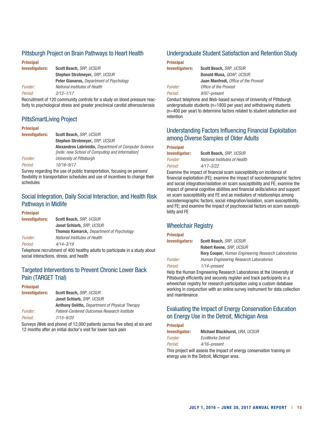## Pittsburgh Project on Brain Pathways to Heart Health

| <b>Principal</b>      |                                                 |
|-----------------------|-------------------------------------------------|
| <b>Investigators:</b> | Scott Beach, SRP, UCSUR                         |
|                       | Stephen Strotmeyer, SRP, UCSUR                  |
|                       | <b>Peter Gianaros, Department of Psychology</b> |
| <b>Funder:</b>        | National Institutes of Health                   |
| Period:               | $2/12 - 1/17$                                   |

Recruitment of 120 community controls for a study on blood pressure reactivity to psychological stress and greater preclinical carotid atherosclerosis

## PittsSmartLiving Project

#### **Principal**

| <b>Investigators:</b>                                        | <b>Scott Beach, SRP, UCSUR</b>                                           |
|--------------------------------------------------------------|--------------------------------------------------------------------------|
|                                                              | <b>Stephen Strotmeyer, SRP, UCSUR</b>                                    |
| <b>Alexandros Labrinidis, Department of Computer Science</b> |                                                                          |
|                                                              | [note: now School of Computing and Information]                          |
| <b>Funder:</b>                                               | University of Pittsburgh                                                 |
| Period:                                                      | $10/16 - 9/17$                                                           |
|                                                              | Curvey reagrating the use of public transportation, focusing on persons' |

Survey regarding the use of public transportation, focusing on persons' flexibility in transportation schedules and use of incentives to change their schedules

### Social Integration, Daily Social Interaction, and Health Risk Pathways in Midlife

**Principal** 

| <b>Investigators:</b> | <b>Scott Beach, SRP, UCSUR</b>                  |
|-----------------------|-------------------------------------------------|
|                       | Janet Schlarb, SRP. UCSUR                       |
|                       | <b>Thomas Kamarck, Department of Psychology</b> |
| <b>Funder:</b>        | National Institutes of Health                   |
| Period:               | $4/14 - 3/19$                                   |
|                       |                                                 |

Telephone recruitment of 400 healthy adults to participate in a study about social interactions, stress, and health

## Targeted Interventions to Prevent Chronic Lower Back Pain (TARGET Trial)

#### Principal

| <b>Investigators:</b> | <b>Scott Beach, SRP, UCSUR</b>                         |  |
|-----------------------|--------------------------------------------------------|--|
|                       | Janet Schlarb, SRP. UCSUR                              |  |
|                       | <b>Anthony Delitto, Department of Physical Therapy</b> |  |
| <b>Funder:</b>        | Patient-Centered Outcomes Research Institute           |  |
| Period:               | $7/15 - 9/20$                                          |  |
|                       |                                                        |  |

Surveys (Web and phone) of 12,000 patients (across five sites) at six and 12 months after an initial doctor's visit for lower back pain

#### Undergraduate Student Satisfaction and Retention Study

#### Principal

| <b>Investigators:</b> | <b>Scott Beach, SRP, UCSUR</b>              |
|-----------------------|---------------------------------------------|
|                       | Donald Musa, QDAP, UCSUR                    |
|                       | <b>Juan Manfredi, Office of the Provosi</b> |
| Funder:               | Office of the Provost                       |
| Period:               | 9/97-present                                |
|                       |                                             |

Conduct telephone and Web-based surveys of University of Pittsburgh undergraduate students (n=1800 per year) and withdrawing students (n=400 per year) to determine factors related to student satisfaction and retention

#### Understanding Factors Influencing Financial Exploitation among Diverse Samples of Older Adults

#### Principal

*Period: 4/17–3/22*

Investigator: **Scott Beach,** *SRP, UCSUR Funder: National Institutes of Health*

Examine the impact of financial scam susceptibility on incidence of financial exploitation (FE); examine the impact of sociodemographic factors and social integration/isolation on scam susceptibility and FE; examine the impact of general cognitive abilities and financial skills/advice and support on scam susceptibility and FE and as mediators of relationships among sociodemographic factors, social integration/isolation, scam susceptibility, and FE; and examine the impact of psychosocial factors on scam susceptibility and FE

### Wheelchair Registry

#### **Principal**

Investigators: **Scott Beach,** *SRP, UCSUR* **Robert Keene,** *SRP, UCSUR* **Rory Cooper,** *Human Engineering Research Laboratories Funder: Human Engineering Research Laboratories Period: 1/14–present*

Help the Human Engineering Research Laboratories at the University of Pittsburgh efficiently and securely register and track participants in a wheelchair registry for research participation using a custom database working in conjunction with an online survey instrument for data collection and maintenance

## Evaluating the Impact of Energy Conservation Education on Energy Use in the Detroit, Michigan Area

#### **Principal**

Investigator: **Michael Blackhurst,** *URA, UCSUR Funder: EcoWorks Detroit Period: 4/16–present*

This project will assess the impact of energy conservation training on energy use in the Detroit, Michigan area.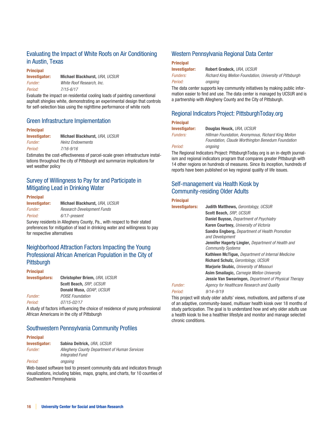## Evaluating the Impact of White Roofs on Air Conditioning in Austin, Texas

#### Principal

Investigator: **Michael Blackhurst,** *URA, UCSUR Funder: White Roof Research, Inc. Period: 7/15-6/17*

Evaluate the impact on residential cooling loads of painting conventional asphalt shingles white, demonstrating an experimental design that controls for self-selection bias using the nighttime performance of white roofs

#### Green Infrastructure Implementation

#### Principal

Investigator: **Michael Blackhurst,** *URA, UCSUR Funder: Heinz Endowments Period: 7/16-9/16*

Estimates the cost-effectiveness of parcel-scale green infrastructure installations throughout the city of Pittsburgh and summarize implications for wet weather policy

#### Survey of Willingness to Pay for and Participate in Mitigating Lead in Drinking Water

#### Principal

| <b>Investigator:</b> | Michael Blackhurst, URA, UG       |
|----------------------|-----------------------------------|
| <i>Funder:</i>       | <b>Research Development Funds</b> |
| Period:              | 6/17-present                      |

Survey residents in Allegheny County, Pa., with respect to their stated preferences for mitigation of lead in drinking water and willingness to pay for respective alternatives

Investigator: **Michael Blackhurst,** *URA, UCSUR*

### Neighborhood Attraction Factors Impacting the Young Professional African American Population in the City of **Pittsburgh**

#### Principal

| <b>Investigators:</b> | <b>Christopher Briem.</b> URA. UCSUR |
|-----------------------|--------------------------------------|
|                       | <b>Scott Beach, SRP, UCSUR</b>       |
|                       | Donald Musa, QDAP, UCSUR             |
| <b>Funder:</b>        | <b>POISE Foundation</b>              |
| Period:               | 07/15-02/17                          |

A study of factors influencing the choice of residence of young professional African Americans in the city of Pittsburgh

### Southwestern Pennsylvania Community Profiles

#### **Principal**

| <b>Investigator:</b> | Sabina Deitrick, URA, UCSUR                                             |
|----------------------|-------------------------------------------------------------------------|
| <i>Funder:</i>       | Allegheny County Department of Human Services<br><b>Integrated Fund</b> |
| Period:              | ongoing                                                                 |

Web-based software tool to present community data and indicators through visualizations, including tables, maps, graphs, and charts, for 10 counties of Southwestern Pennsylvania

#### Western Pennsylvania Regional Data Center

#### Principal

| Investigator:   |  |
|-----------------|--|
| <b>Funders:</b> |  |
| Doriod:         |  |

Robert Gradeck, URA, UCSUR

*Funders: Richard King Mellon Foundation, University of Pittsburgh Period: ongoing* 

The data center supports key community initiatives by making public information easier to find and use. The data center is managed by UCSUR and is a partnership with Allegheny County and the City of Pittsburgh.

#### Regional Indicators Project: PittsburghToday.org

#### **Principal**

Investigator: **Douglas Heuck,** *URA, UCSUR Funders: Hillman Foundation, Anonymous, Richard King Mellon Foundation, Claude Worthington Benedum Foundation*

*Period: ongoing*

The Regional Indicators Project: PittsburghToday.org is an in-depth journalism and regional indicators program that compares greater Pittsburgh with 14 other regions on hundreds of measures. Since its inception, hundreds of reports have been published on key regional quality of life issues.

## Self-management via Health Kiosk by Community-residing Older Adults

#### **Principal**

| <b>Investigators:</b> | <b>Judith Matthews, Gerontology, UCSUR</b>                                     |
|-----------------------|--------------------------------------------------------------------------------|
|                       | <b>Scott Beach, SRP, UCSUR</b>                                                 |
|                       | <b>Daniel Buysse, Department of Psychiatry</b>                                 |
|                       | <b>Karen Courtney, University of Victoria</b>                                  |
|                       | <b>Sandra Engberg, Department of Health Promotion</b><br>and Development       |
|                       | Jennifer Hagerty Lingler, Department of Health and<br><b>Community Systems</b> |
|                       | <b>Kathleen McTique, Department of Internal Medicine</b>                       |
|                       | <b>Richard Schulz, Gerontology, UCSUR</b>                                      |
|                       | <b>Marjorie Skubic, University of Missouri</b>                                 |
|                       | <b>Asim Smailagic, Carnegie Mellon University</b>                              |
|                       | <b>Jessie Van Swearingen, Department of Physical Therapy</b>                   |
| Funder:               | Agency for Healthcare Research and Quality                                     |
| Period:               | $9/14 - 9/19$                                                                  |
|                       |                                                                                |

This project will study older adults' views, motivations, and patterns of use of an adaptive, community-based, multiuser health kiosk over 18 months of study participation. The goal is to understand how and why older adults use a health kiosk to live a healthier lifestyle and monitor and manage selected chronic conditions.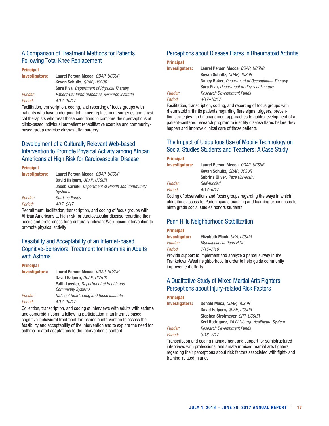## A Comparison of Treatment Methods for Patients Following Total Knee Replacement

## **Principal**

| <b>Investigators:</b> | Laurel Person Mecca, QDAP, UCSUR                 |
|-----------------------|--------------------------------------------------|
|                       | Kevan Schultz, QDAP, UCSUR                       |
|                       | <b>Sara Piva, Department of Physical Therapy</b> |
| <b>Funder:</b>        | Patient-Centered Outcomes Research Institute     |
| Period:               | $4/17 - 10/17$                                   |

Facilitation, transcription, coding, and reporting of focus groups with patients who have undergone total knee replacement surgeries and physical therapists who treat those conditions to compare their perceptions of clinic-based individual outpatient rehabilitative exercise and communitybased group exercise classes after surgery

### Development of a Culturally Relevant Web-based Intervention to Promote Physical Activity among African Americans at High Risk for Cardiovascular Disease

#### **Principal**

| <b>Investigators:</b> | Laurel Person Mecca, QDAP, UCSUR                         |
|-----------------------|----------------------------------------------------------|
|                       | David Halpern, QDAP, UCSUR                               |
|                       | <b>Jacob Kariuki, Department of Health and Community</b> |
|                       | Systems                                                  |
| <b>Funder:</b>        | Start-up Funds                                           |
| Period:               | $4/17 - 9/17$                                            |
|                       |                                                          |

Recruitment, facilitation, transcription, and coding of focus groups with African Americans at high risk for cardiovascular disease regarding their needs and preferences for a culturally relevant Web-based intervention to promote physical activity

### Feasibility and Acceptability of an Internet-based Cognitive-Behavioral Treatment for Insomnia in Adults with Asthma

#### **Principal**

| <b>Investigators:</b> | Laurel Person Mecca, QDAP, UCSUR                                    |
|-----------------------|---------------------------------------------------------------------|
|                       | David Halpern, QDAP, UCSUR                                          |
|                       | Faith Luyster, Department of Health and<br><b>Community Systems</b> |
| <b>Funder:</b>        | National Heart, Lung and Blood Institute                            |
| Period:               | $4/17 - 10/17$                                                      |

Collection, transcription, and coding of interviews with adults with asthma and comorbid insomnia following participation in an Internet-based cognitive-behavioral treatment for insomnia intervention to assess the feasibility and acceptability of the intervention and to explore the need for asthma-related adaptations to the intervention's content

## Perceptions about Disease Flares in Rheumatoid Arthritis

#### Principal

| <b>Investigators:</b> | Laurel Person Mecca, QDAP, UCSUR                       |
|-----------------------|--------------------------------------------------------|
|                       | Kevan Schultz, QDAP, UCSUR                             |
|                       | <b>Nancy Baker, Department of Occupational Therapy</b> |
|                       | <b>Sara Piva, Department of Physical Therapy</b>       |
| <b>Funder:</b>        | <b>Research Development Funds</b>                      |
| Period:               | $4/17 - 10/17$                                         |

Facilitation, transcription, coding, and reporting of focus groups with rheumatoid arthritis patients regarding flare signs, triggers, prevention strategies, and management approaches to guide development of a patient-centered research program to identify disease flares before they happen and improve clinical care of those patients

# The Impact of Ubiquitous Use of Mobile Technology on Social Studies Students and Teachers: A Case Study

#### Principal

| <b>Investigators:</b> | Laurel Person Mecca, QDAP, UCSUR |
|-----------------------|----------------------------------|
|                       | Kevan Schultz, QDAP, UCSUR       |
|                       | Subrina Oliver, Pace University  |
| <b>Funder:</b>        | Self-funded                      |
| Period:               | $4/17 - 6/17$                    |

Coding of observations and focus groups regarding the ways in which ubiquitous access to iPads impacts teaching and learning experiences for ninth grade social studies honors students

## Penn Hills Neighborhood Stabilization

#### **Principal**

| <b>Investigator:</b> | Elizabeth Monk, URA, UCSUR        |
|----------------------|-----------------------------------|
| <i>Funder:</i>       | <b>Municipality of Penn Hills</b> |
| Period:              | $7/15 - 7/16$                     |

Provide support to implement and analyze a parcel survey in the Frankstown-West neighborhood in order to help guide community improvement efforts

### A Qualitative Study of Mixed Martial Arts Fighters' Perceptions about Injury-related Risk Factors

#### **Principal**

| <b>Investigators:</b> | Donald Musa, QDAP, UCSUR                        |
|-----------------------|-------------------------------------------------|
|                       | David Halpern, QDAP, UCSUR                      |
|                       | Stephen Strotmever, SRP, UCSUR                  |
|                       | Keri Rodriguez, VA Pittsburgh Healthcare System |
| <b>Funder:</b>        | <b>Research Development Funds</b>               |
| Period:               | $3/16 - 7/17$                                   |

Transcription and coding management and support for semistructured interviews with professional and amateur mixed martial arts fighters regarding their perceptions about risk factors associated with fight- and training-related injuries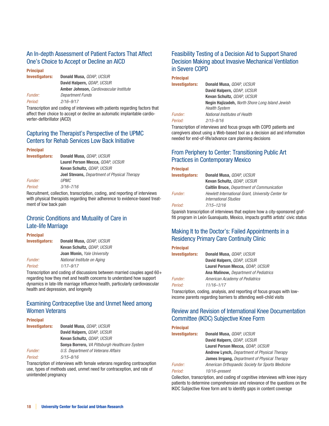## An In-depth Assessment of Patient Factors That Affect One's Choice to Accept or Decline an AICD

Principal

| <b>Investigators:</b> | Donald Musa, QDAP, UCSUR      |
|-----------------------|-------------------------------|
|                       | David Halpern, QDAP, UCSUR    |
|                       | Amber Johnson, Cardiovascular |
| <i><b>Funder:</b></i> | <b>Department Funds</b>       |
| Period:               | $2/16 - 9/17$                 |
|                       |                               |

Transcription and coding of interviews with patients regarding factors that affect their choice to accept or decline an automatic implantable cardioverter-defibrillator (AICD)

**Amber Johnson,** *Cardiovascular Institute*

### Capturing the Therapist's Perspective of the UPMC Centers for Rehab Services Low Back Initiative

#### Principal

| <b>Investigators:</b> | Donald Musa, QDAP, UCSUR                            |
|-----------------------|-----------------------------------------------------|
|                       | Laurel Person Mecca, QDAP, UCSUR                    |
|                       | Kevan Schultz, QDAP, UCSUR                          |
|                       | <b>Joel Stevans, Department of Physical Therapy</b> |
| <b>Funder:</b>        | UPMC                                                |
| Period:               | $3/16 - 7/16$                                       |

Recruitment, collection, transcription, coding, and reporting of interviews with physical therapists regarding their adherence to evidence-based treatment of low back pain

## Chronic Conditions and Mutuality of Care in Late-life Marriage

#### Principal

| <b>Investigators:</b> | Donald Musa, QDAP, UCSUR           |
|-----------------------|------------------------------------|
|                       | Kevan Schultz, QDAP, UCSUR         |
|                       | <b>Joan Monin, Yale University</b> |
| <b>Funder:</b>        | National Institute on Aging        |
| Period:               | $1/17 - 9/17$                      |

Transcription and coding of discussions between married couples aged 60+ regarding how they met and health concerns to understand how support dynamics in late-life marriage influence health, particularly cardiovascular health and depression, and longevity

### Examining Contraceptive Use and Unmet Need among Women Veterans

#### Principal

| <b>Investigators:</b> | Donald Musa, QDAP, UCSUR                              |
|-----------------------|-------------------------------------------------------|
|                       | David Halpern, QDAP, UCSUR                            |
|                       | Kevan Schultz, QDAP, UCSUR                            |
|                       | <b>Sonya Borrero, VA Pittsburgh Healthcare System</b> |
| <b>Funder:</b>        | U.S. Department of Veterans Affairs                   |
| Period:               | $5/15 - 8/16$                                         |

Transcription of interviews with female veterans regarding contraception use, types of methods used, unmet need for contraception, and rate of unintended pregnancy

## Feasibility Testing of a Decision Aid to Support Shared Decision Making about Invasive Mechanical Ventilation in Severe COPD

#### Principal

| <b>Investigators:</b> | Donald Musa, QDAP, UCSUR      |
|-----------------------|-------------------------------|
|                       | David Halpern, QDAP, UCSUR    |
|                       | Kevan Schultz, QDAP, UCSUR    |
|                       | Negin Hajizadeh, North Shore  |
|                       | <b>Health System</b>          |
| Funder:               | National Institutes of Health |
| Period:               | $2/15 - 8/16$                 |
|                       |                               |

Transcription of interviews and focus groups with COPD patients and caregivers about using a Web-based tool as a decision aid and information needed for end-of-life/advance care planning decisions

**Negin Hajizadeh,** *North Shore Long Island Jewish* 

## From Periphery to Center: Transitioning Public Art Practices in Contemporary Mexico

#### Principal

| <b>Investigators:</b> | Donald Musa, QDAP, UCSUR                                                           |
|-----------------------|------------------------------------------------------------------------------------|
|                       | Kevan Schultz, QDAP, UCSUR                                                         |
|                       | <b>Caitlin Bruce, Department of Communication</b>                                  |
| <i><b>Funder:</b></i> | Hewlett International Grant, University Center for<br><b>International Studies</b> |
| Period:               | $7/15 - 12/16$                                                                     |
|                       |                                                                                    |

Spanish transcription of interviews that explore how a city-sponsored graffiti program in León Guanajuato, Mexico, impacts graffiti artists' civic status

## Making It to the Doctor's: Failed Appointments in a Residency Primary Care Continuity Clinic

#### Principal

| <b>Investigators:</b> | Donald Musa, QDAP, UCSUR              |
|-----------------------|---------------------------------------|
|                       | David Halpern, QDAP, UCSUR            |
|                       | Laurel Person Mecca, QDAP, UCSUR      |
|                       | Ana Malinow, Department of Pediatrics |
| <b>Funder:</b>        | <b>American Academy of Pediatrics</b> |
| Period:               | 11/16–1/17                            |

Transcription, coding, analysis, and reporting of focus groups with lowincome parents regarding barriers to attending well-child visits

#### Review and Revision of International Knee Documentation Committee (IKDC) Subjective Knee Form

#### Principal

| <b>Investigators:</b> | Donald Musa, QDAP, UCSUR                             |
|-----------------------|------------------------------------------------------|
|                       | David Halpern, QDAP, UCSUR                           |
|                       | Laurel Person Mecca, QDAP, UCSUR                     |
|                       | <b>Andrew Lynch, Department of Physical Therapy</b>  |
|                       | <b>James Irrgang, Department of Physical Therapy</b> |
| <b>Funder:</b>        | American Orthopaedic Society for Sports Medicine     |
| Period:               | 10/16-present                                        |

Collection, transcription, and coding of cognitive interviews with knee injury patients to determine comprehension and relevance of the questions on the IKDC Subjective Knee form and to identify gaps in content coverage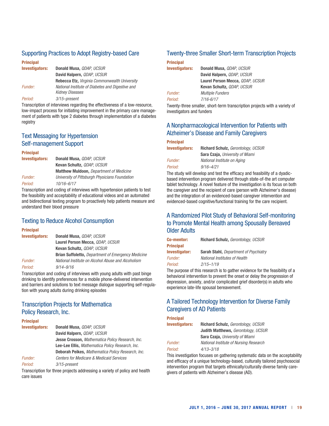## Supporting Practices to Adopt Registry-based Care

| <b>Principal</b>      |                                                                            |
|-----------------------|----------------------------------------------------------------------------|
| <b>Investigators:</b> | Donald Musa, QDAP, UCSUR                                                   |
|                       | David Halpern, QDAP, UCSUR                                                 |
|                       | Rebecca Etz, Virginia Commonwealth University                              |
| <b>Funder:</b>        | National Institute of Diabetes and Digestive and<br><b>Kidney Diseases</b> |
| Period:               | 3/15-present                                                               |

Transcription of interviews regarding the effectiveness of a low-resource, low-impact process for initiating improvement in the primary care management of patients with type 2 diabetes through implementation of a diabetes registry

## Text Messaging for Hypertension Self-management Support

| <b>Principal</b>      |                                                |
|-----------------------|------------------------------------------------|
| <b>Investigators:</b> | Donald Musa, QDAP, UCSUR                       |
|                       | Kevan Schultz, QDAP, UCSUR                     |
|                       | <b>Matthew Muldoon, Department of Medicine</b> |
| <b>Funder:</b>        | University of Pittsburgh Physicians Foundation |
| Period:               | 10/16-6/17                                     |

Transcription and coding of interviews with hypertension patients to test the feasibility and acceptability of educational videos and an automated and bidirectional texting program to proactively help patients measure and understand their blood pressure

### Texting to Reduce Alcohol Consumption

| <b>Principal</b>      |                                                           |
|-----------------------|-----------------------------------------------------------|
| <b>Investigators:</b> | Donald Musa, QDAP, UCSUR                                  |
|                       | Laurel Person Mecca, QDAP, UCSUR                          |
|                       | Kevan Schultz, QDAP, UCSUR                                |
|                       | <b>Brian Suffoletto, Department of Emergency Medicine</b> |
| <b>Funder:</b>        | National Institute on Alcohol Abuse and Alcoholism        |
| Period:               | $9/14 - 9/16$                                             |

Transcription and coding of interviews with young adults with past binge drinking to identify preferences for a mobile phone-delivered intervention and barriers and solutions to text message dialogue supporting self-regulation with young adults during drinking episodes

### Transcription Projects for Mathematica Policy Research, Inc.

| <b>Principal</b>      |                                                     |
|-----------------------|-----------------------------------------------------|
| <b>Investigators:</b> | Donald Musa, QDAP, UCSUR                            |
|                       | David Halpern, QDAP, UCSUR                          |
|                       | Jesse Crosson, Mathematica Policy Research, Inc.    |
|                       | Lee-Lee Ellis, Mathematica Policy Research, Inc.    |
|                       | Deborah Peikes, Mathematica Policy Research, Inc.   |
| Funder:               | <b>Centers for Medicare &amp; Medicaid Services</b> |
| Period:               | 3/15-present                                        |
|                       |                                                     |

Transcription for three projects addressing a variety of policy and health care issues

## Twenty-three Smaller Short-term Transcription Projects

#### Principal

| <b>Investigators:</b>            | Donald Musa, QDAP, UCSUR         |
|----------------------------------|----------------------------------|
|                                  | David Halpern, QDAP, UCSUR       |
|                                  | Laurel Person Mecca, QDAP, UCSUR |
|                                  | Kevan Schultz, QDAP, UCSUR       |
|                                  | <b>Multiple Funders</b>          |
|                                  | $7/16 - 6/17$                    |
| <i><b>Funder:</b></i><br>Period: |                                  |

Twenty-three smaller, short-term transcription projects with a variety of investigators and funders

### A Nonpharmacological Intervention for Patients with Alzheimer's Disease and Family Caregivers

#### Principal

Investigators: **Richard Schulz,** *Gerontology, UCSUR* **Sara Czaja,** *University of Miami Funder: National Institute on Aging Period: 9/16–4/21*

The study will develop and test the efficacy and feasibility of a dyadicbased intervention program delivered through state-of-the art computer tablet technology. A novel feature of the investigation is its focus on both the caregiver and the recipient of care (person with Alzheimer's disease) and the integration of an evidenced-based caregiver intervention and evidenced-based cognitive/functional training for the care recipient.

#### A Randomized Pilot Study of Behavioral Self-monitoring to Promote Mental Health among Spousally Bereaved Older Adults

Co-mentor: **Richard Schulz,** *Gerontology, UCSUR* Principal Investigator: **Sarah Stahl,** *Department of Psychiatry Funder: National Institutes of Health Period: 2/15–1/19*

The purpose of this research is to gather evidence for the feasibility of a behavioral intervention to prevent the onset or delay the progression of depression, anxiety, and/or complicated grief disorder(s) in adults who experience late-life spousal bereavement.

## A Tailored Technology Intervention for Diverse Family Caregivers of AD Patients

#### **Principal**

Investigators: **Richard Schulz,** *Gerontology, UCSUR*

**Sara Czaja,** *University of Miami Funder: National Institute of Nursing Research*

*Period: 4/13–3/18*

This investigation focuses on gathering systematic data on the acceptability and efficacy of a unique technology-based, culturally tailored psychosocial intervention program that targets ethnically/culturally diverse family caregivers of patients with Alzheimer's disease (AD).

**Judith Matthews,** *Gerontology, UCSUR*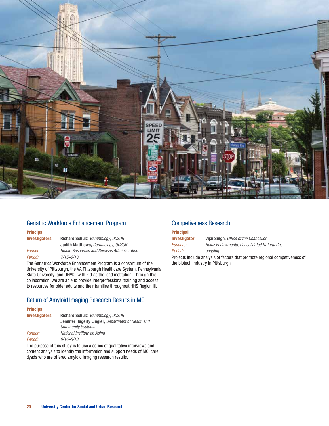![](_page_21_Picture_0.jpeg)

### Geriatric Workforce Enhancement Program

Principal

| <b>Investigators:</b> | Richard Schulz, Gerontology, UCSUR                  |
|-----------------------|-----------------------------------------------------|
|                       | <b>Judith Matthews.</b> Gerontology, UCSUR          |
| Funder:               | <b>Health Resources and Services Administration</b> |
| Period:               | $7/15 - 6/18$                                       |

The Geriatrics Workforce Enhancement Program is a consortium of the University of Pittsburgh, the VA Pittsburgh Healthcare System, Pennsylvania State University, and UPMC, with Pitt as the lead institution. Through this collaboration, we are able to provide interprofessional training and access to resources for older adults and their families throughout HHS Region III.

## Return of Amyloid Imaging Research Results in MCI

#### Principal

| <b>Investigators:</b> | <b>Richard Schulz.</b> Gerontology, UCSUR                 |
|-----------------------|-----------------------------------------------------------|
|                       | <b>Jennifer Hagerty Lingler, Department of Health and</b> |
|                       | <b>Community Systems</b>                                  |
| <b>Funder:</b>        | National Institute on Aging                               |
| Period:               | $6/14 - 5/18$                                             |
|                       |                                                           |

The purpose of this study is to use a series of qualitative interviews and content analysis to identify the information and support needs of MCI care dyads who are offered amyloid imaging research results.

### Competiveness Research

#### Principal

| Investigator:   |  |
|-----------------|--|
| <b>Funders:</b> |  |
|                 |  |

**Vijai Singh,** Office of the Chancellor *Funders: Heinz Endowments, Consolidated Natural Gas*

*Period: ongoing*

Projects include analysis of factors that promote regional competiveness of the biotech industry in Pittsburgh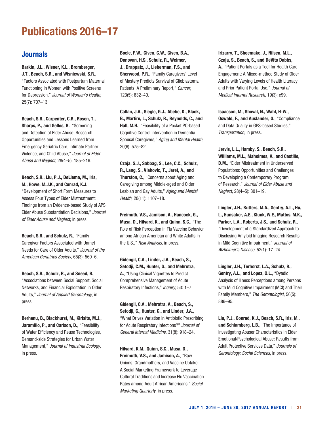# **Publications 2016–17**

## **Journals**

**Barkin, J.L., Wisner, K.L., Bromberger, J.T., Beach, S.R., and Wisniewski, S.R.**, "Factors Associated with Postpartum Maternal Functioning in Women with Positive Screens for Depression," *Journal of Women's Health*, 25(7): 707–13.

**Beach, S.R., Carpenter, C.R., Rosen, T., Sharps, P., and Gelles, R.**, "Screening and Detection of Elder Abuse: Research Opportunities and Lessons Learned from Emergency Geriatric Care, Intimate Partner Violence, and Child Abuse," *Journal of Elder Abuse and Neglect*, 28(4–5): 185–216.

**Beach, S.R., Liu, P.J., DeLiema, M., Iris, M., Howe, M.J.K., and Conrad, K.J.**, "Development of Short Form Measures to Assess Four Types of Elder Mistreatment: Findings from an Evidence-based Study of APS Elder Abuse Substantiation Decisions," *Journal of Elder Abuse and Neglect*, in press.

**Beach, S.R., and Schulz, R.**, "Family Caregiver Factors Associated with Unmet Needs for Care of Older Adults," *Journal of the American Geriatrics Society*, 65(3): 560–6.

**Beach, S.R., Schulz, R., and Sneed, R.**, "Associations between Social Support, Social Networks, and Financial Exploitation in Older Adults," *Journal of Applied Gerontology*, in press.

**Berhanu, B., Blackhurst, M., Kirisits, M.J., Jaramillo, P., and Carlson, D.**, "Feasibility of Water Efficiency and Reuse Technologies, Demand-side Strategies for Urban Water Management," *Journal of Industrial Ecology*, in press.

**Boele, F.W., Given, C.W., Given, B.A., Donovan, H.S., Schulz, R., Weimer, J., Drappatz, J., Lieberman, F.S., and Sherwood, P.R.**, "Family Caregivers' Level of Mastery Predicts Survival of Glioblastoma Patients: A Preliminary Report," *Cancer,* 123(5): 832–40.

**Callan, J.A., Siegle, G.J., Abebe, K., Black, B., Martire, L., Schulz, R., Reynolds, C., and Hall, M.H.**, "Feasibility of a Pocket PC-based Cognitive Control Intervention in Dementia Spousal Caregivers," *Aging and Mental Health*, 20(6): 575–82.

**Czaja, S.J., Sabbag, S., Lee, C.C., Schulz, R., Lang, S., Vlahovic, T., Jaret, A., and Thurston, C.**, "Concerns about Aging and Caregiving among Middle-aged and Older Lesbian and Gay Adults," *Aging and Mental Health*, 20(11): 1107–18.

**Freimuth, V.S., Jamison, A., Hancock, G., Musa, D., Hilyard, K., and Quinn, S.C.**, "The Role of Risk Perception in Flu Vaccine Behavior among African American and White Adults in the U.S.," *Risk Analysis*, in press.

**Gidengil, C.A., Linder, J.A., Beach, S., Setodji, C.M., Hunter, G., and Mehrotra, A.**, "Using Clinical Vignettes to Predict Comprehensive Management of Acute Respiratory Infections," *Inquiry*, 53: 1–7.

**Gidengil, C.A., Mehrotra, A., Beach, S., Setodji, C., Hunter, G., and Linder, J.A.**, "What Drives Variation in Antibiotic Prescribing for Acute Respiratory Infections?" *Journal of General Internal Medicine*, 31(8): 918–24.

**Hilyard, K.M., Quinn, S.C., Musa, D., Freimuth, V.S., and Jamison, A.**, "Raw Onions, Grandmothers, and Vaccine Uptake: A Social Marketing Framework to Leverage Cultural Traditions and Increase Flu Vaccination Rates among Adult African Americans," *Social Marketing Quarterly*, in press.

**Irizarry, T., Shoemake, J., Nilsen, M.L., Czaja, S., Beach, S., and DeVito Dabbs, A.**, "Patient Portals as a Tool for Health Care Engagement: A Mixed-method Study of Older Adults with Varying Levels of Health Literacy and Prior Patient Portal Use," *Journal of Medical Internet Research*, 19(3): e99.

**Isaacson, M., Shoval, N., Wahl, H-W., Oswald, F., and Auslander, G.**, "Compliance and Data Quality in GPS-based Studies," *Transportation*, in press.

**Jervis, L.L., Hamby, S., Beach, S.R., Williams, M.L., Maholmes, V., and Castille, D.M.**, "Elder Mistreatment in Underserved Populations: Opportunities and Challenges to Developing a Contemporary Program of Research," *Journal of Elder Abuse and Neglect*, 28(4–5): 301–19.

**Lingler, J.H., Butters, M.A., Gentry, A.L., Hu, L., Hunsaker, A.E., Klunk, W.E., Mattos, M.K., Parker, L.A., Roberts, J.S., and Schulz, R.**, "Development of a Standardized Approach to Disclosing Amyloid Imaging Research Results in Mild Cognitive Impairment," *Journal of Alzheimer's Disease*, 52(1): 17–24.

**Lingler, J.H., Terhorst, L.A., Schulz, R., Gentry, A.L., and Lopez, O.L.**, "Dyadic Analysis of Illness Perceptions among Persons with Mild Cognitive Impairment (MCI) and Their Family Members," *The Gerontologist*, 56(5): 886–95.

**Liu, P.J., Conrad, K.J., Beach, S.R., Iris, M., and Schiamberg, L.B.**, "The Importance of Investigating Abuser Characteristics in Elder Emotional/Psychological Abuse: Results from Adult Protective Services Data," *Journals of Gerontology: Social Sciences*, in press.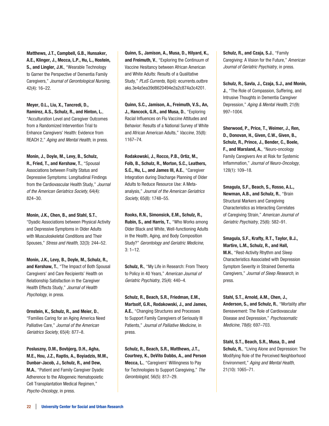**Matthews, J.T., Campbell, G.B., Hunsaker, A.E., Klinger, J., Mecca, L.P., Hu, L., Hostein, S., and Lingler, J.H.**, "Wearable Technology to Garner the Perspective of Dementia Family Caregivers," *Journal of Gerontological Nursing*, 42(4): 16–22.

**Meyer, O.L., Liu, X., Tancredi, D., Ramirez, A.S., Schulz, R., and Hinton, L.**, "Acculturation Level and Caregiver Outcomes from a Randomized Intervention Trial to Enhance Caregivers' Health: Evidence from REACH 2," *Aging and Mental Health*, in press.

**Monin, J., Doyle, M., Levy, B., Schulz, R., Fried, T., and Kershaw, T.**, "Spousal Associations between Frailty Status and Depressive Symptoms: Longitudinal Findings from the Cardiovascular Health Study," *Journal of the American Geriatrics Society*, 64(4): 824–30.

**Monin, J.K., Chen, B., and Stahl, S.T.**, "Dyadic Associations between Physical Activity and Depressive Symptoms in Older Adults with Musculoskeletal Conditions and Their Spouses," *Stress and Health*, 32(3): 244–52.

**Monin, J.K., Levy, B., Doyle, M., Schulz, R., and Kershaw, T.**, "The Impact of Both Spousal Caregivers' and Care Recipients' Health on Relationship Satisfaction in the Caregiver Health Effects Study," *Journal of Health Psychology*, in press.

**Ornstein, K., Schulz, R., and Meier, D.**, "Families Caring for an Aging America Need Palliative Care," *Journal of the American Geriatrics Society*, 65(4): 877–8.

**Posluszny, D.M., Bovbjerg, D.H., Agha, M.E., Hou, J.Z., Raptis, A., Boyiadzis, M.M., Dunbar-Jacob, J., Schulz, R., and Dew, M.A.**, "Patient and Family Caregiver Dyadic Adherence to the Allogeneic Hematopoietic Cell Transplantation Medical Regimen," *Psycho-Oncology*, in press.

**Quinn, S., Jamison, A., Musa, D., Hilyard, K., and Freimuth, V.**, "Exploring the Continuum of Vaccine Hesitancy between African American and White Adults: Results of a Qualitative Study," *PLoS Currents*, 8(pii): ecurrents.outbre aks.3e4a5ea39d8620494e2a2c874a3c4201.

**Quinn, S.C., Jamison, A., Freimuth, V.S., An, J., Hancock, G.R., and Musa, D.**, "Exploring Racial Influences on Flu Vaccine Attitudes and Behavior: Results of a National Survey of White and African American Adults," *Vaccine*, 35(8): 1167–74.

**Rodakowski, J., Rocco, P.B., Ortiz, M., Folb, B., Schulz, R., Morton, S.C., Leathers, S.C., Hu, L., and James III, A.E.**, "Caregiver Integration during Discharge Planning of Older Adults to Reduce Resource Use: A Metaanalysis," *Journal of the American Geriatrics Society*, 65(8): 1748–55.

**Rooks, R.N., Simonsick, E.M., Schulz, R., Rubin, S., and Harris, T.**, "Who Works among Older Black and White, Well-functioning Adults in the Health, Aging, and Body Composition Study?" *Gerontology and Geriatric Medicine*, 3: 1–12.

**Schulz, R.**, "My Life in Research: From Theory to Policy in 40 Years," *American Journal of Geriatric Psychiatry*, 25(4): 440–4.

**Schulz, R., Beach, S.R., Friedman, E.M., Martsolf, G.R., Rodakowski, J., and James, A.E.**, "Changing Structures and Processes to Support Family Caregivers of Seriously Ill Patients," *Journal of Palliative Medicine*, in press.

**Schulz, R., Beach, S.R., Matthews, J.T., Courtney, K., DeVito Dabbs, A., and Person Mecca, L.**, "Caregivers' Willingness to Pay for Technologies to Support Caregiving," *The Gerontologist*, 56(5): 817–29.

**Schulz, R., and Czaja, S.J.**, "Family Caregiving: A Vision for the Future," *American Journal of Geriatric Psychiatry*, in press.

**Schulz, R., Savla, J., Czaja, S.J., and Monin, J.**, "The Role of Compassion, Suffering, and Intrusive Thoughts in Dementia Caregiver Depression," *Aging & Mental Health*, 21(9): 997–1004.

**Sherwood, P., Price, T., Weimer, J., Ren, D., Donovan, H., Given, C.W., Given, B., Schulz, R., Prince, J., Bender, C., Boele, F., and Marsland, A.**, "Neuro-oncology Family Caregivers Are at Risk for Systemic Inflammation," *Journal of Neuro-Oncology*, 128(1): 109–18.

**Smagula, S.F., Beach, S., Rosso, A.L., Newman, A.B., and Schulz, R.**, "Brain Structural Markers and Caregiving Characteristics as Interacting Correlates of Caregiving Strain," *American Journal of Geriatric Psychiatry*, 25(6): 582–91.

**Smagula, S.F., Krafty, R.T., Taylor, B.J., Martire, L.M., Schulz, R., and Hall, M.H.**, "Rest-Activity Rhythm and Sleep Characteristics Associated with Depression Symptom Severity in Strained Dementia Caregivers," *Journal of Sleep Research*, in press.

**Stahl, S.T., Arnold, A.M., Chen, J., Anderson, S., and Schulz, R.**, "Mortality after Bereavement: The Role of Cardiovascular Disease and Depression," *Psychosomatic Medicine*, 78(6): 697–703.

**Stahl, S.T., Beach, S.R., Musa, D., and Schulz, R.**, "Living Alone and Depression: The Modifying Role of the Perceived Neighborhood Environment," *Aging and Mental Health*, 21(10): 1065–71.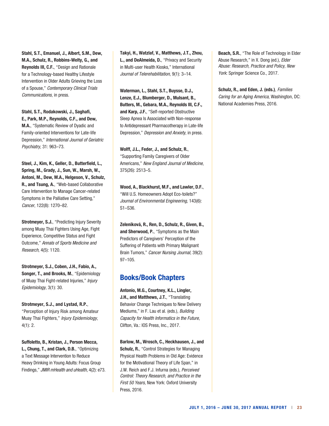**Stahl, S.T., Emanuel, J., Albert, S.M., Dew, M.A., Schulz, R., Robbins-Welty, G., and Reynolds III, C.F.**, "Design and Rationale for a Technology-based Healthy Lifestyle Intervention in Older Adults Grieving the Loss of a Spouse," *Contemporary Clinical Trials Communications*, in press.

**Stahl, S.T., Rodakowski, J., Saghafi, E., Park, M.P., Reynolds, C.F., and Dew, M.A.**, "Systematic Review of Dyadic and Family-oriented Interventions for Late-life Depression," *International Journal of Geriatric Psychiatry*, 31: 963–73.

**Steel, J., Kim, K., Geller, D., Butterfield, L., Spring, M., Grady, J., Sun, W., Marsh, W., Antoni, M., Dew, M.A., Helgeson, V., Schulz, R., and Tsung, A.**, "Web-based Collaborative Care Intervention to Manage Cancer-related Symptoms in the Palliative Care Setting," *Cancer*, 122(8): 1270–82.

**Strotmeyer, S.J.**, "Predicting Injury Severity among Muay Thai Fighters Using Age, Fight Experience, Competitive Status and Fight Outcome," *Annals of Sports Medicine and Research*, 4(5): 1120.

**Strotmeyer, S.J., Coben, J.H., Fabio, A., Songer, T., and Brooks, M.**, "Epidemiology of Muay Thai Fight-related Injuries," *Injury Epidemiology*, 3(1): 30.

**Strotmeyer, S.J., and Lystad, R.P.**, "Perception of Injury Risk among Amateur Muay Thai Fighters," *Injury Epidemiology*, 4(1): 2.

**Suffoletto, B., Kristan, J., Person Mecca, L., Chung, T., and Clark, D.B.**, "Optimizing a Text Message Intervention to Reduce Heavy Drinking in Young Adults: Focus Group Findings," *JMIR mHealth and uHealth*, 4(2): e73. **Takyi, H., Watzlaf, V., Matthews, J.T., Zhou, L., and DeAlmeida, D.**, "Privacy and Security in Multi-user Health Kiosks," International *Journal of Telerehabilitation*, 9(1): 3–14.

**Waterman, L., Stahl, S.T., Buysse, D.J., Lenze, E.J., Blumberger, D., Mulsant, B., Butters, M., Gebara, M.A., Reynolds III, C.F., and Karp, J.F.**, "Self-reported Obstructive Sleep Apnea Is Associated with Non-response to Antidepressant Pharmacotherapy in Late-life Depression," *Depression and Anxiety*, in press.

**Wolff, J.L., Feder, J., and Schulz, R.**, "Supporting Family Caregivers of Older Americans," *New England Journal of Medicine*, 375(26): 2513–5.

**Wood, A., Blackhurst, M.F., and Lawler, D.F.**, "Will U.S. Homeowners Adopt Eco-toilets?" *Journal of Environmental Engineering*, 143(6): S1–S36.

**Zeleníková, R., Ren, D., Schulz, R., Given, B., and Sherwood, P.**, "Symptoms as the Main Predictors of Caregivers' Perception of the Suffering of Patients with Primary Malignant Brain Tumors," *Cancer Nursing Journal,* 39(2): 97–105.

# **Books/Book Chapters**

**Antonio, M.G., Courtney, K.L., Lingler, J.H., and Matthews, J.T.**, "Translating Behavior Change Techniques to New Delivery Mediums," in F. Lau et al. (eds.), *Building Capacity for Health Informatics in the Future*, Clifton, Va.: IOS Press, Inc., 2017.

**Barlow, M., Wrosch, C., Heckhausen, J., and Schulz, R.**, "Control Strategies for Managing Physical Health Problems in Old Age: Evidence for the Motivational Theory of Life Span," in J.W. Reich and F.J. Infurna (eds.), *Perceived Control: Theory Research, and Practice in the First 50 Years*, New York: Oxford University Press, 2016.

**Beach, S.R.**, "The Role of Technology in Elder Abuse Research," in X. Dong (ed.), *Elder Abuse: Research, Practice and Policy, New York*: Springer Science Co., 2017.

**Schulz, R., and Eden, J. (eds.)**, *Families Caring for an Aging America*, Washington, DC: National Academies Press, 2016.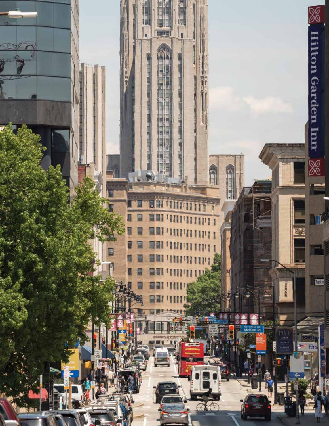![](_page_25_Picture_0.jpeg)